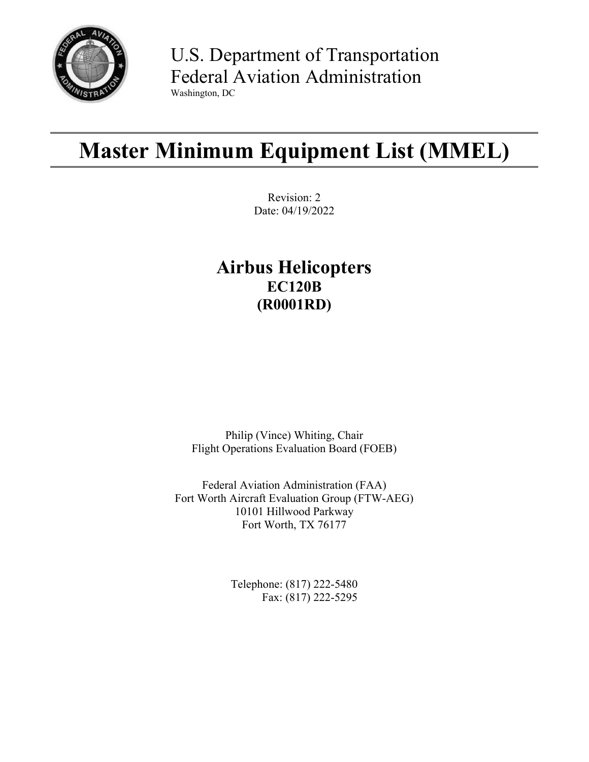

U.S. Department of Transportation Federal Aviation Administration Washington, DC

# **Master Minimum Equipment List (MMEL)**

Revision: 2 Date: 04/19/2022

# **Airbus Helicopters EC120B (R0001RD)**

Philip (Vince) Whiting, Chair Flight Operations Evaluation Board (FOEB)

Federal Aviation Administration (FAA) Fort Worth Aircraft Evaluation Group (FTW-AEG) 10101 Hillwood Parkway Fort Worth, TX 76177

> Telephone: (817) 222-5480 Fax: (817) 222-5295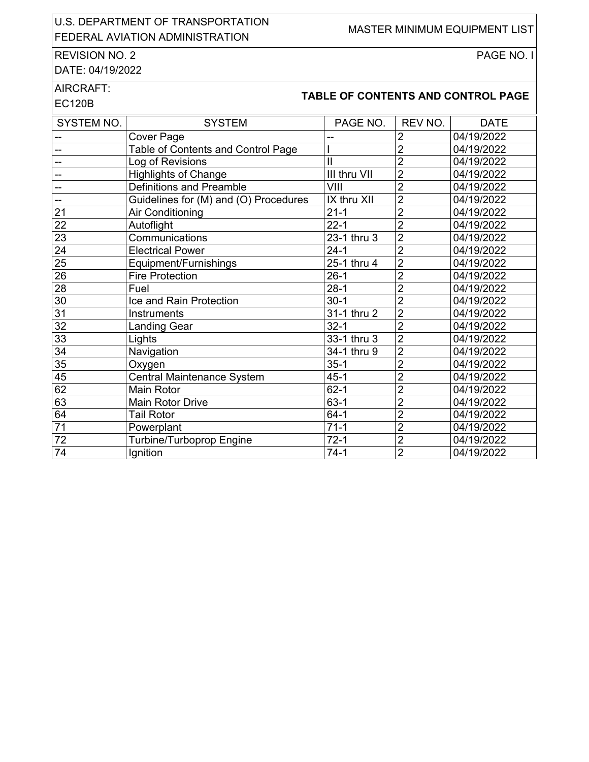#### U.S. DEPARTMENT OF TRANSPORTATION OLD. BET ARRIVENT OF TRANSITORIATION MASTER MINIMUM EQUIPMENT LIST

# REVISION NO. 2

PAGE NO. I

DATE: 04/19/2022

#### AIRCRAFT:

# **TABLE OF CONTENTS AND CONTROL PAGE**<br>EC120B

| SYSTEM NO.               | <b>SYSTEM</b>                         | PAGE NO.      | REV NO.        | <b>DATE</b> |
|--------------------------|---------------------------------------|---------------|----------------|-------------|
|                          | <b>Cover Page</b>                     |               | 2              | 04/19/2022  |
| $\overline{a}$           | Table of Contents and Control Page    |               | $\overline{2}$ | 04/19/2022  |
| $\overline{a}$           | Log of Revisions                      | $\mathsf{II}$ | $\overline{2}$ | 04/19/2022  |
| --                       | <b>Highlights of Change</b>           | III thru VII  | $\overline{2}$ | 04/19/2022  |
| --                       | Definitions and Preamble              | VIII          | $\overline{2}$ | 04/19/2022  |
| $\overline{\phantom{a}}$ | Guidelines for (M) and (O) Procedures | IX thru XII   | $\overline{2}$ | 04/19/2022  |
| 21                       | Air Conditioning                      | $21 - 1$      | $\overline{2}$ | 04/19/2022  |
| 22                       | Autoflight                            | $22 - 1$      | $\overline{2}$ | 04/19/2022  |
| $\overline{23}$          | Communications                        | 23-1 thru 3   | $\overline{2}$ | 04/19/2022  |
| $\overline{24}$          | <b>Electrical Power</b>               | $24 - 1$      | $\overline{2}$ | 04/19/2022  |
| 25                       | Equipment/Furnishings                 | 25-1 thru 4   | $\overline{2}$ | 04/19/2022  |
| 26                       | <b>Fire Protection</b>                | $26-1$        | $\overline{2}$ | 04/19/2022  |
| 28                       | Fuel                                  | $28-1$        | $\overline{2}$ | 04/19/2022  |
| 30                       | Ice and Rain Protection               | $30-1$        | $\overline{2}$ | 04/19/2022  |
| 31                       | <b>Instruments</b>                    | 31-1 thru 2   | $\overline{2}$ | 04/19/2022  |
| 32                       | <b>Landing Gear</b>                   | $32 - 1$      | $\overline{2}$ | 04/19/2022  |
| 33                       | Lights                                | 33-1 thru 3   | $\overline{2}$ | 04/19/2022  |
| $\overline{34}$          | Navigation                            | 34-1 thru 9   | $\overline{2}$ | 04/19/2022  |
| $\overline{35}$          | Oxygen                                | $35-1$        | $\overline{2}$ | 04/19/2022  |
| 45                       | Central Maintenance System            | $45 - 1$      | $\overline{c}$ | 04/19/2022  |
| 62                       | <b>Main Rotor</b>                     | $62 - 1$      | $\overline{2}$ | 04/19/2022  |
| 63                       | <b>Main Rotor Drive</b>               | $63 - 1$      | $\overline{2}$ | 04/19/2022  |
| 64                       | <b>Tail Rotor</b>                     | $64-1$        | $\overline{2}$ | 04/19/2022  |
| $\overline{71}$          | Powerplant                            | $71-1$        | $\overline{2}$ | 04/19/2022  |
| $\overline{72}$          | Turbine/Turboprop Engine              | $72-1$        | $\overline{2}$ | 04/19/2022  |
| 74                       | Ignition                              | $74-1$        | $\overline{2}$ | 04/19/2022  |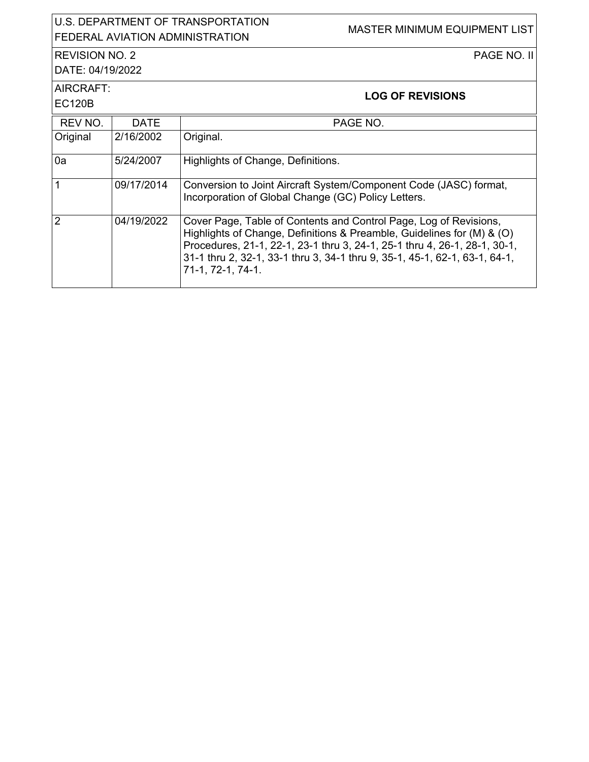|                                           |                    | U.S. DEPARTMENT OF TRANSPORTATION<br><b>MASTER MINIMUM EQUIPMENT LIST</b><br><b>FEDERAL AVIATION ADMINISTRATION</b>                                                                                                                                                                                                         |
|-------------------------------------------|--------------------|-----------------------------------------------------------------------------------------------------------------------------------------------------------------------------------------------------------------------------------------------------------------------------------------------------------------------------|
| <b>REVISION NO. 2</b><br>DATE: 04/19/2022 | <b>PAGE NO. II</b> |                                                                                                                                                                                                                                                                                                                             |
| AIRCRAFT:<br><b>EC120B</b>                |                    | <b>LOG OF REVISIONS</b>                                                                                                                                                                                                                                                                                                     |
| REV NO.                                   | <b>DATE</b>        | PAGE NO.                                                                                                                                                                                                                                                                                                                    |
| Original                                  | 2/16/2002          | Original.                                                                                                                                                                                                                                                                                                                   |
| 0a                                        | 5/24/2007          | Highlights of Change, Definitions.                                                                                                                                                                                                                                                                                          |
| $\overline{1}$                            | 09/17/2014         | Conversion to Joint Aircraft System/Component Code (JASC) format,<br>Incorporation of Global Change (GC) Policy Letters.                                                                                                                                                                                                    |
| $\overline{2}$                            | 04/19/2022         | Cover Page, Table of Contents and Control Page, Log of Revisions,<br>Highlights of Change, Definitions & Preamble, Guidelines for (M) & (O)<br>Procedures, 21-1, 22-1, 23-1 thru 3, 24-1, 25-1 thru 4, 26-1, 28-1, 30-1,<br>31-1 thru 2, 32-1, 33-1 thru 3, 34-1 thru 9, 35-1, 45-1, 62-1, 63-1, 64-1,<br>71-1, 72-1, 74-1. |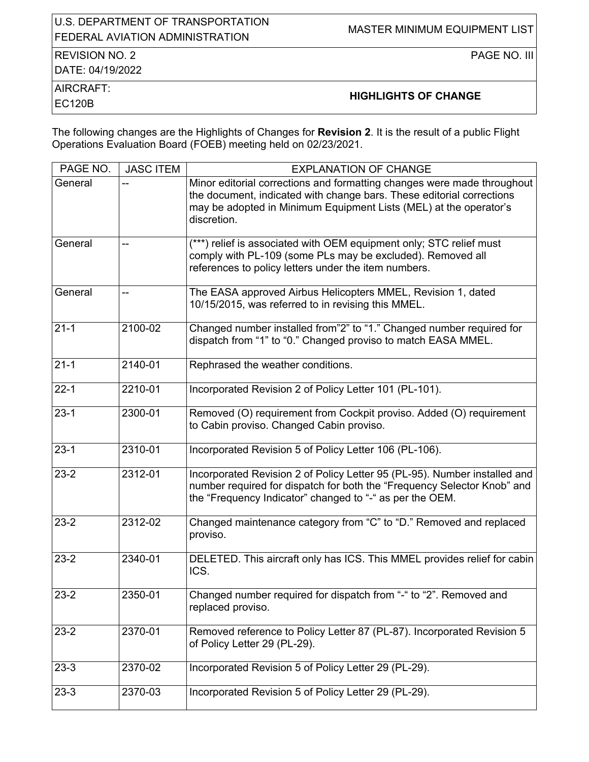### U.S. DEPARTMENT OF TRANSPORTATION SIG. BET ARRIVENT OF TRANSPORTATION MASTER MINIMUM EQUIPMENT LIST

## REVISION NO. 2

DATE: 04/19/2022

PAGE NO. III

AIRCRAFT:

# AINCRAFT.<br>EC120B **HIGHLIGHTS OF CHANGE**

The following changes are the Highlights of Changes for **Revision 2**. It is the result of a public Flight Operations Evaluation Board (FOEB) meeting held on 02/23/2021.

| PAGE NO. | <b>JASC ITEM</b> | <b>EXPLANATION OF CHANGE</b>                                                                                                                                                                                                         |
|----------|------------------|--------------------------------------------------------------------------------------------------------------------------------------------------------------------------------------------------------------------------------------|
| General  |                  | Minor editorial corrections and formatting changes were made throughout<br>the document, indicated with change bars. These editorial corrections<br>may be adopted in Minimum Equipment Lists (MEL) at the operator's<br>discretion. |
| General  | --               | (***) relief is associated with OEM equipment only; STC relief must<br>comply with PL-109 (some PLs may be excluded). Removed all<br>references to policy letters under the item numbers.                                            |
| General  |                  | The EASA approved Airbus Helicopters MMEL, Revision 1, dated<br>10/15/2015, was referred to in revising this MMEL.                                                                                                                   |
| $21 - 1$ | 2100-02          | Changed number installed from"2" to "1." Changed number required for<br>dispatch from "1" to "0." Changed proviso to match EASA MMEL.                                                                                                |
| $21 - 1$ | 2140-01          | Rephrased the weather conditions.                                                                                                                                                                                                    |
| $22 - 1$ | 2210-01          | Incorporated Revision 2 of Policy Letter 101 (PL-101).                                                                                                                                                                               |
| $23-1$   | 2300-01          | Removed (O) requirement from Cockpit proviso. Added (O) requirement<br>to Cabin proviso. Changed Cabin proviso.                                                                                                                      |
| $23-1$   | 2310-01          | Incorporated Revision 5 of Policy Letter 106 (PL-106).                                                                                                                                                                               |
| $23-2$   | 2312-01          | Incorporated Revision 2 of Policy Letter 95 (PL-95). Number installed and<br>number required for dispatch for both the "Frequency Selector Knob" and<br>the "Frequency Indicator" changed to "-" as per the OEM.                     |
| $23 - 2$ | 2312-02          | Changed maintenance category from "C" to "D." Removed and replaced<br>proviso.                                                                                                                                                       |
| $23 - 2$ | 2340-01          | DELETED. This aircraft only has ICS. This MMEL provides relief for cabin<br>ICS.                                                                                                                                                     |
| $23 - 2$ | 2350-01          | Changed number required for dispatch from "-" to "2". Removed and<br>replaced proviso.                                                                                                                                               |
| $23-2$   | 2370-01          | Removed reference to Policy Letter 87 (PL-87). Incorporated Revision 5<br>of Policy Letter 29 (PL-29).                                                                                                                               |
| $23-3$   | 2370-02          | Incorporated Revision 5 of Policy Letter 29 (PL-29).                                                                                                                                                                                 |
| $23-3$   | 2370-03          | Incorporated Revision 5 of Policy Letter 29 (PL-29).                                                                                                                                                                                 |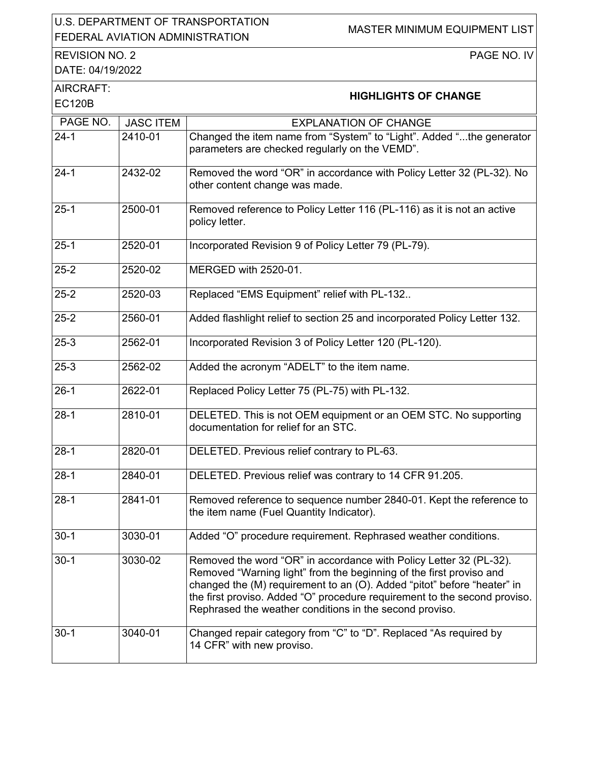#### U.S. DEPARTMENT OF TRANSPORTATION U.S. DEFARTMENT OF TRANSPORTATION MASTER MINIMUM EQUIPMENT LIST

REVISION NO. 2

PAGE NO. IV

DATE: 04/19/2022

| <b>HIGHLIGHTS OF CHANGE</b> |  |
|-----------------------------|--|

| AIRCRAFT:<br><b>EC120B</b> |                  | <b>HIGHLIGHTS OF CHANGE</b>                                                                                                                                                                                                                                                                                                                                  |
|----------------------------|------------------|--------------------------------------------------------------------------------------------------------------------------------------------------------------------------------------------------------------------------------------------------------------------------------------------------------------------------------------------------------------|
| PAGE NO.                   | <b>JASC ITEM</b> | <b>EXPLANATION OF CHANGE</b>                                                                                                                                                                                                                                                                                                                                 |
| $24 - 1$                   | 2410-01          | Changed the item name from "System" to "Light". Added "the generator<br>parameters are checked regularly on the VEMD".                                                                                                                                                                                                                                       |
| $24 - 1$                   | 2432-02          | Removed the word "OR" in accordance with Policy Letter 32 (PL-32). No<br>other content change was made.                                                                                                                                                                                                                                                      |
| $25-1$                     | 2500-01          | Removed reference to Policy Letter 116 (PL-116) as it is not an active<br>policy letter.                                                                                                                                                                                                                                                                     |
| $25-1$                     | 2520-01          | Incorporated Revision 9 of Policy Letter 79 (PL-79).                                                                                                                                                                                                                                                                                                         |
| $25 - 2$                   | 2520-02          | MERGED with 2520-01.                                                                                                                                                                                                                                                                                                                                         |
| $25 - 2$                   | 2520-03          | Replaced "EMS Equipment" relief with PL-132                                                                                                                                                                                                                                                                                                                  |
| $25 - 2$                   | 2560-01          | Added flashlight relief to section 25 and incorporated Policy Letter 132.                                                                                                                                                                                                                                                                                    |
| $25-3$                     | 2562-01          | Incorporated Revision 3 of Policy Letter 120 (PL-120).                                                                                                                                                                                                                                                                                                       |
| $25-3$                     | 2562-02          | Added the acronym "ADELT" to the item name.                                                                                                                                                                                                                                                                                                                  |
| $26-1$                     | 2622-01          | Replaced Policy Letter 75 (PL-75) with PL-132.                                                                                                                                                                                                                                                                                                               |
| $28 - 1$                   | 2810-01          | DELETED. This is not OEM equipment or an OEM STC. No supporting<br>documentation for relief for an STC.                                                                                                                                                                                                                                                      |
| $28-1$                     | 2820-01          | DELETED. Previous relief contrary to PL-63.                                                                                                                                                                                                                                                                                                                  |
| $28-1$                     | 2840-01          | DELETED. Previous relief was contrary to 14 CFR 91.205.                                                                                                                                                                                                                                                                                                      |
| $28-1$                     | 2841-01          | Removed reference to sequence number 2840-01. Kept the reference to<br>the item name (Fuel Quantity Indicator).                                                                                                                                                                                                                                              |
| $30-1$                     | 3030-01          | Added "O" procedure requirement. Rephrased weather conditions.                                                                                                                                                                                                                                                                                               |
| $30 - 1$                   | 3030-02          | Removed the word "OR" in accordance with Policy Letter 32 (PL-32).<br>Removed "Warning light" from the beginning of the first proviso and<br>changed the (M) requirement to an (O). Added "pitot" before "heater" in<br>the first proviso. Added "O" procedure requirement to the second proviso.<br>Rephrased the weather conditions in the second proviso. |
| $30-1$                     | 3040-01          | Changed repair category from "C" to "D". Replaced "As required by<br>14 CFR" with new proviso.                                                                                                                                                                                                                                                               |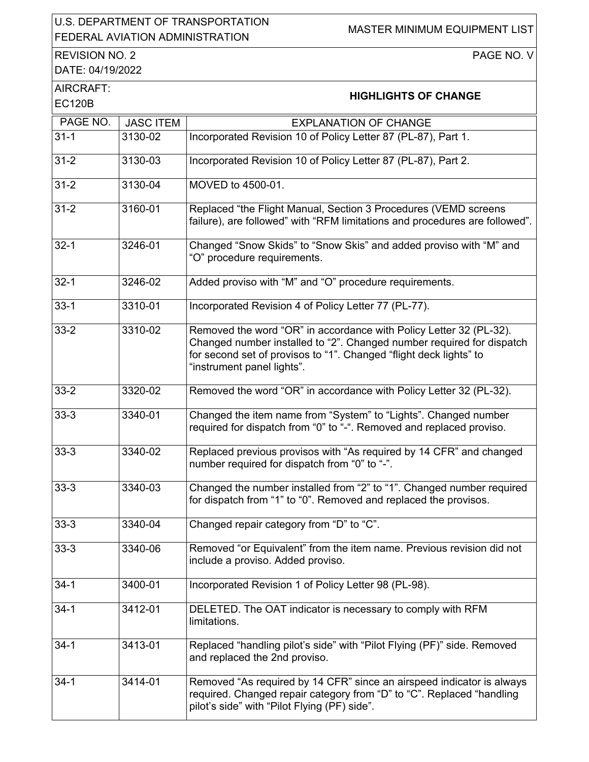### U.S. DEPARTMENT OF TRANSPORTATION U.S. DEPARTMENT OF TRANSFORTATION MASTER MINIMUM EQUIPMENT LIST

REVISION NO. 2

PAGE NO. V

DATE: 04/19/2022 AIRCRAFT:

| AIRCRAFT: | <b>HIGHLIGHTS OF CHANGE</b> |
|-----------|-----------------------------|
| EC120B    |                             |

| PAGE NO. | <b>JASC ITEM</b> | <b>EXPLANATION OF CHANGE</b>                                                                                                                                                                                                                    |
|----------|------------------|-------------------------------------------------------------------------------------------------------------------------------------------------------------------------------------------------------------------------------------------------|
| $31 - 1$ | 3130-02          | Incorporated Revision 10 of Policy Letter 87 (PL-87), Part 1.                                                                                                                                                                                   |
| $31 - 2$ | 3130-03          | Incorporated Revision 10 of Policy Letter 87 (PL-87), Part 2.                                                                                                                                                                                   |
| $31 - 2$ | 3130-04          | MOVED to 4500-01.                                                                                                                                                                                                                               |
| $31 - 2$ | 3160-01          | Replaced "the Flight Manual, Section 3 Procedures (VEMD screens<br>failure), are followed" with "RFM limitations and procedures are followed".                                                                                                  |
| $32 - 1$ | 3246-01          | Changed "Snow Skids" to "Snow Skis" and added proviso with "M" and<br>"O" procedure requirements.                                                                                                                                               |
| $32 - 1$ | 3246-02          | Added proviso with "M" and "O" procedure requirements.                                                                                                                                                                                          |
| $33-1$   | 3310-01          | Incorporated Revision 4 of Policy Letter 77 (PL-77).                                                                                                                                                                                            |
| $33 - 2$ | 3310-02          | Removed the word "OR" in accordance with Policy Letter 32 (PL-32).<br>Changed number installed to "2". Changed number required for dispatch<br>for second set of provisos to "1". Changed "flight deck lights" to<br>"instrument panel lights". |
| $33 - 2$ | 3320-02          | Removed the word "OR" in accordance with Policy Letter 32 (PL-32).                                                                                                                                                                              |
| $33-3$   | 3340-01          | Changed the item name from "System" to "Lights". Changed number<br>required for dispatch from "0" to "-". Removed and replaced proviso.                                                                                                         |
| $33-3$   | 3340-02          | Replaced previous provisos with "As required by 14 CFR" and changed<br>number required for dispatch from "0" to "-".                                                                                                                            |
| $33-3$   | 3340-03          | Changed the number installed from "2" to "1". Changed number required<br>for dispatch from "1" to "0". Removed and replaced the provisos.                                                                                                       |
| $33-3$   | 3340-04          | Changed repair category from "D" to "C".                                                                                                                                                                                                        |
| $33-3$   | 3340-06          | Removed "or Equivalent" from the item name. Previous revision did not<br>include a proviso. Added proviso.                                                                                                                                      |
| $34-1$   | $3400 - 01$      | Incorporated Revision 1 of Policy Letter 98 (PL-98).                                                                                                                                                                                            |
| $34-1$   | 3412-01          | DELETED. The OAT indicator is necessary to comply with RFM<br>limitations.                                                                                                                                                                      |
| $34-1$   | 3413-01          | Replaced "handling pilot's side" with "Pilot Flying (PF)" side. Removed<br>and replaced the 2nd proviso.                                                                                                                                        |
| $34-1$   | 3414-01          | Removed "As required by 14 CFR" since an airspeed indicator is always<br>required. Changed repair category from "D" to "C". Replaced "handling<br>pilot's side" with "Pilot Flying (PF) side".                                                  |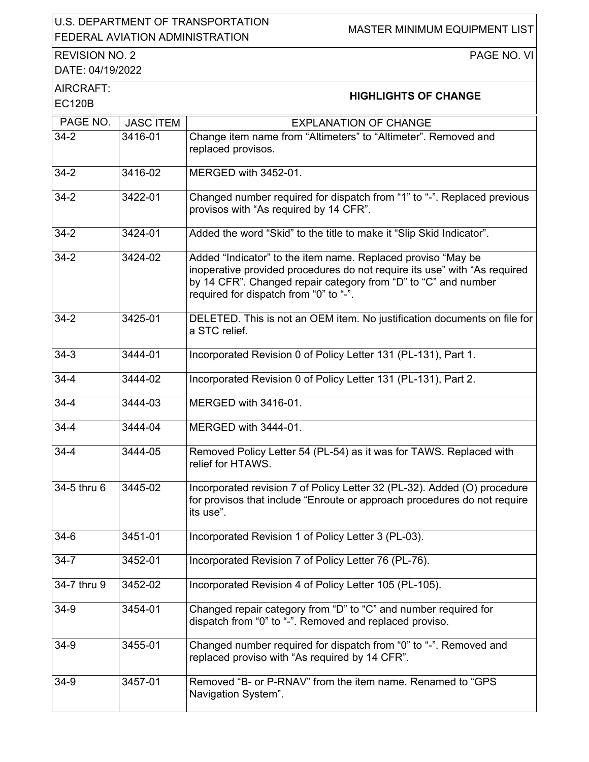### U.S. DEPARTMENT OF TRANSPORTATION U.S. DEPARTMENT OF TRANSPORTATION MASTER MINIMUM EQUIPMENT LIST<br>FEDERAL AVIATION ADMINISTRATION

REVISION NO. 2

PAGE NO. VI

DATE: 04/19/2022

| AIRCRAFT:     |                             |
|---------------|-----------------------------|
| <b>EC120B</b> | <b>HIGHLIGHTS OF CHANGE</b> |

| PAGE NO.           | <b>JASC ITEM</b> | <b>EXPLANATION OF CHANGE</b>                                                                                                                                                                                                                          |
|--------------------|------------------|-------------------------------------------------------------------------------------------------------------------------------------------------------------------------------------------------------------------------------------------------------|
|                    |                  |                                                                                                                                                                                                                                                       |
| $34-2$             | 3416-01          | Change item name from "Altimeters" to "Altimeter". Removed and<br>replaced provisos.                                                                                                                                                                  |
| $34-2$             | 3416-02          | MERGED with 3452-01.                                                                                                                                                                                                                                  |
| $34 - 2$           | 3422-01          | Changed number required for dispatch from "1" to "-". Replaced previous<br>provisos with "As required by 14 CFR".                                                                                                                                     |
| $34 - 2$           | 3424-01          | Added the word "Skid" to the title to make it "Slip Skid Indicator".                                                                                                                                                                                  |
| $\overline{3}$ 4-2 | 3424-02          | Added "Indicator" to the item name. Replaced proviso "May be<br>inoperative provided procedures do not require its use" with "As required<br>by 14 CFR". Changed repair category from "D" to "C" and number<br>required for dispatch from "0" to "-". |
| $34 - 2$           | 3425-01          | DELETED. This is not an OEM item. No justification documents on file for<br>a STC relief.                                                                                                                                                             |
| $34-3$             | 3444-01          | Incorporated Revision 0 of Policy Letter 131 (PL-131), Part 1.                                                                                                                                                                                        |
| $34 - 4$           | 3444-02          | Incorporated Revision 0 of Policy Letter 131 (PL-131), Part 2.                                                                                                                                                                                        |
| $34 - 4$           | 3444-03          | MERGED with 3416-01.                                                                                                                                                                                                                                  |
| $34 - 4$           | 3444-04          | MERGED with 3444-01.                                                                                                                                                                                                                                  |
| $34 - 4$           | 3444-05          | Removed Policy Letter 54 (PL-54) as it was for TAWS. Replaced with<br>relief for HTAWS.                                                                                                                                                               |
| 34-5 thru 6        | 3445-02          | Incorporated revision 7 of Policy Letter 32 (PL-32). Added (O) procedure<br>for provisos that include "Enroute or approach procedures do not require<br>its use".                                                                                     |
| $34-6$             | 3451-01          | Incorporated Revision 1 of Policy Letter 3 (PL-03).                                                                                                                                                                                                   |
| $34 - 7$           | 3452-01          | Incorporated Revision 7 of Policy Letter 76 (PL-76).                                                                                                                                                                                                  |
| 34-7 thru 9        | 3452-02          | Incorporated Revision 4 of Policy Letter 105 (PL-105).                                                                                                                                                                                                |
| $34-9$             | 3454-01          | Changed repair category from "D" to "C" and number required for<br>dispatch from "0" to "-". Removed and replaced proviso.                                                                                                                            |
| $34-9$             | 3455-01          | Changed number required for dispatch from "0" to "-". Removed and<br>replaced proviso with "As required by 14 CFR".                                                                                                                                   |
| $34-9$             | 3457-01          | Removed "B- or P-RNAV" from the item name. Renamed to "GPS<br>Navigation System".                                                                                                                                                                     |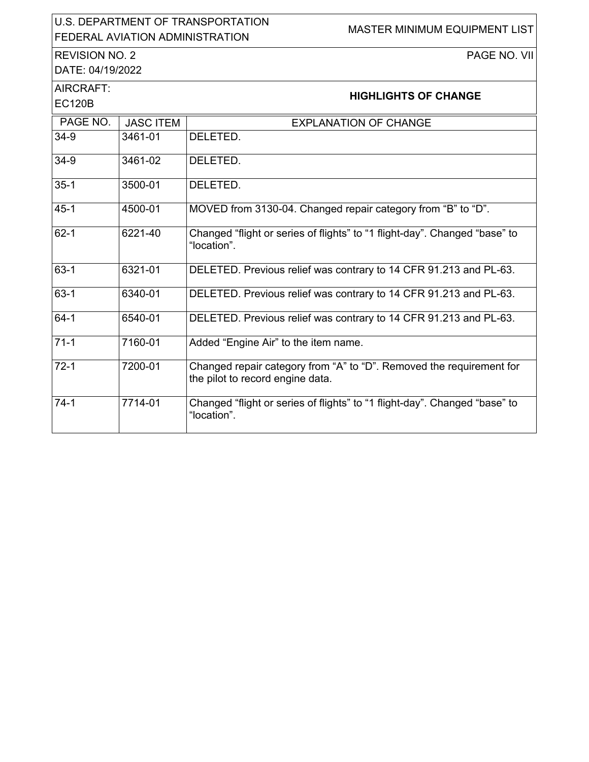### U.S. DEPARTMENT OF TRANSPORTATION U.S. DEPARTMENT OF TRANSPORTATION MASTER MINIMUM EQUIPMENT LIST

### REVISION NO. 2

PAGE NO. VII

DATE: 04/19/2022

AIRCRAFT:

| <b>HIGHLIGHTS OF CHANGE</b> |  |
|-----------------------------|--|

| EC120B   |                  |                                                                                                          |
|----------|------------------|----------------------------------------------------------------------------------------------------------|
| PAGE NO. | <b>JASC ITEM</b> | <b>EXPLANATION OF CHANGE</b>                                                                             |
| 34-9     | 3461-01          | DELETED.                                                                                                 |
| 34-9     | 3461-02          | DELETED.                                                                                                 |
| $35-1$   | 3500-01          | DELETED.                                                                                                 |
| $45-1$   | 4500-01          | MOVED from 3130-04. Changed repair category from "B" to "D".                                             |
| $62-1$   | 6221-40          | Changed "flight or series of flights" to "1 flight-day". Changed "base" to<br>"location".                |
| $63-1$   | 6321-01          | DELETED. Previous relief was contrary to 14 CFR 91.213 and PL-63.                                        |
| $63-1$   | 6340-01          | DELETED. Previous relief was contrary to 14 CFR 91.213 and PL-63.                                        |
| $64-1$   | 6540-01          | DELETED. Previous relief was contrary to 14 CFR 91.213 and PL-63.                                        |
| $71-1$   | 7160-01          | Added "Engine Air" to the item name.                                                                     |
| $72-1$   | 7200-01          | Changed repair category from "A" to "D". Removed the requirement for<br>the pilot to record engine data. |
| $74-1$   | 7714-01          | Changed "flight or series of flights" to "1 flight-day". Changed "base" to<br>"location".                |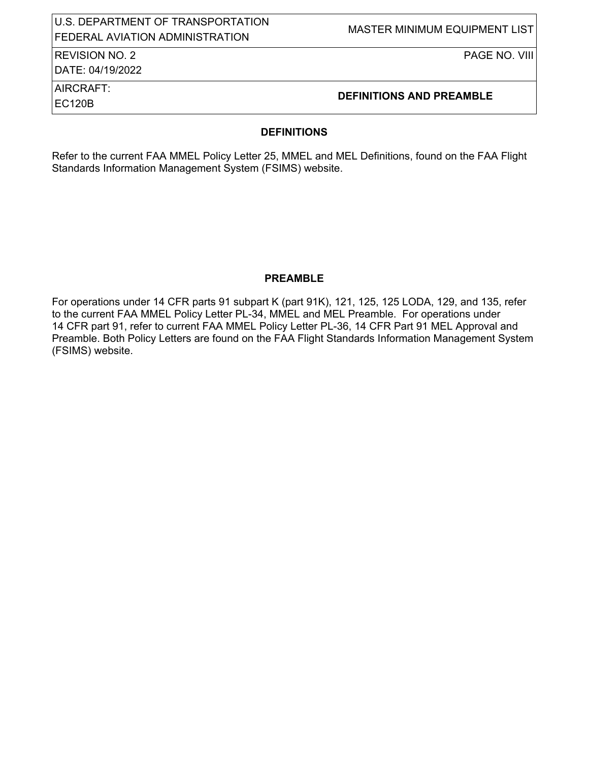#### U.S. DEPARTMENT OF TRANSPORTATION OID: DETAINMENT OF TIVANOI DIVIATION<br>FEDERAL AVIATION ADMINISTRATION

### REVISION NO. 2

DATE: 04/19/2022

PAGE NO. VIII

# AIRCRAFT:

# EC120B **DEFINITIONS AND PREAMBLE**

#### **DEFINITIONS**

Refer to the current FAA MMEL Policy Letter 25, MMEL and MEL Definitions, found on the FAA Flight Standards Information Management System (FSIMS) website.

#### **PREAMBLE**

For operations under 14 CFR parts 91 subpart K (part 91K), 121, 125, 125 LODA, 129, and 135, refer to the current FAA MMEL Policy Letter PL-34, MMEL and MEL Preamble. For operations under 14 CFR part 91, refer to current FAA MMEL Policy Letter PL-36, 14 CFR Part 91 MEL Approval and Preamble. Both Policy Letters are found on the FAA Flight Standards Information Management System (FSIMS) website.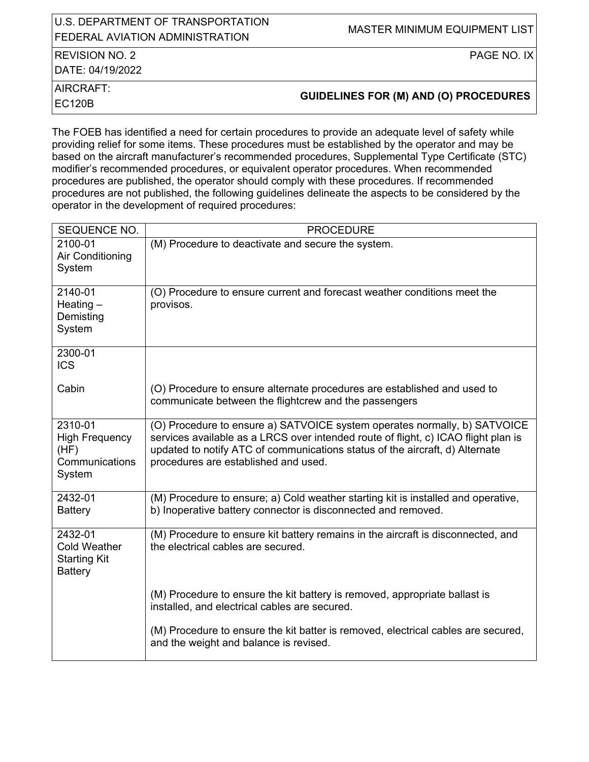### U.S. DEPARTMENT OF TRANSPORTATION OID: DETAINMENT OF TIVANOI DIVIATION<br>FEDERAL AVIATION ADMINISTRATION

### REVISION NO. 2

DATE: 04/19/2022

PAGE NO. IX

AIRCRAFT:

EC120B **GUIDELINES FOR (M) AND (O) PROCEDURES**

The FOEB has identified a need for certain procedures to provide an adequate level of safety while providing relief for some items. These procedures must be established by the operator and may be based on the aircraft manufacturer's recommended procedures, Supplemental Type Certificate (STC) modifier's recommended procedures, or equivalent operator procedures. When recommended procedures are published, the operator should comply with these procedures. If recommended procedures are not published, the following guidelines delineate the aspects to be considered by the operator in the development of required procedures:

| SEQUENCE NO.                                                            | <b>PROCEDURE</b>                                                                                                                                                                                                                                                                        |
|-------------------------------------------------------------------------|-----------------------------------------------------------------------------------------------------------------------------------------------------------------------------------------------------------------------------------------------------------------------------------------|
| 2100-01<br>Air Conditioning<br>System                                   | (M) Procedure to deactivate and secure the system.                                                                                                                                                                                                                                      |
| 2140-01<br>Heating $-$<br>Demisting<br>System                           | (O) Procedure to ensure current and forecast weather conditions meet the<br>provisos.                                                                                                                                                                                                   |
| 2300-01<br><b>ICS</b>                                                   |                                                                                                                                                                                                                                                                                         |
| Cabin                                                                   | (O) Procedure to ensure alternate procedures are established and used to<br>communicate between the flightcrew and the passengers                                                                                                                                                       |
| 2310-01<br><b>High Frequency</b><br>(HF)<br>Communications<br>System    | (O) Procedure to ensure a) SATVOICE system operates normally, b) SATVOICE<br>services available as a LRCS over intended route of flight, c) ICAO flight plan is<br>updated to notify ATC of communications status of the aircraft, d) Alternate<br>procedures are established and used. |
| 2432-01<br><b>Battery</b>                                               | (M) Procedure to ensure; a) Cold weather starting kit is installed and operative,<br>b) Inoperative battery connector is disconnected and removed.                                                                                                                                      |
| 2432-01<br><b>Cold Weather</b><br><b>Starting Kit</b><br><b>Battery</b> | (M) Procedure to ensure kit battery remains in the aircraft is disconnected, and<br>the electrical cables are secured.                                                                                                                                                                  |
|                                                                         | (M) Procedure to ensure the kit battery is removed, appropriate ballast is<br>installed, and electrical cables are secured.                                                                                                                                                             |
|                                                                         | (M) Procedure to ensure the kit batter is removed, electrical cables are secured,<br>and the weight and balance is revised.                                                                                                                                                             |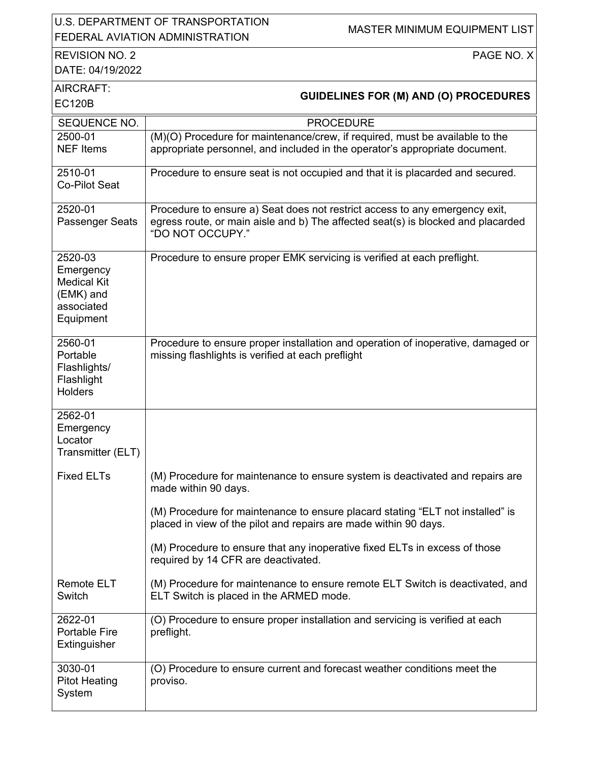### U.S. DEPARTMENT OF TRANSPORTATION U.S. DEFARTMENT OF TRANSPORTATION MASTER MINIMUM EQUIPMENT LIST

## REVISION NO. 2

PAGE NO. X

DATE: 04/19/2022

| INES FOR (M) AND (O) PROCEDURES |
|---------------------------------|

| AIRCRAFT:<br><b>EC120B</b>                                                         | <b>GUIDELINES FOR (M) AND (O) PROCEDURES</b>                                                                                                                                        |
|------------------------------------------------------------------------------------|-------------------------------------------------------------------------------------------------------------------------------------------------------------------------------------|
| SEQUENCE NO.                                                                       | <b>PROCEDURE</b>                                                                                                                                                                    |
| 2500-01<br><b>NEF</b> Items                                                        | (M)(O) Procedure for maintenance/crew, if required, must be available to the<br>appropriate personnel, and included in the operator's appropriate document.                         |
| 2510-01<br>Co-Pilot Seat                                                           | Procedure to ensure seat is not occupied and that it is placarded and secured.                                                                                                      |
| 2520-01<br>Passenger Seats                                                         | Procedure to ensure a) Seat does not restrict access to any emergency exit,<br>egress route, or main aisle and b) The affected seat(s) is blocked and placarded<br>"DO NOT OCCUPY." |
| 2520-03<br>Emergency<br><b>Medical Kit</b><br>(EMK) and<br>associated<br>Equipment | Procedure to ensure proper EMK servicing is verified at each preflight.                                                                                                             |
| 2560-01<br>Portable<br>Flashlights/<br>Flashlight<br><b>Holders</b>                | Procedure to ensure proper installation and operation of inoperative, damaged or<br>missing flashlights is verified at each preflight                                               |
| 2562-01<br>Emergency<br>Locator<br>Transmitter (ELT)                               |                                                                                                                                                                                     |
| <b>Fixed ELTs</b>                                                                  | (M) Procedure for maintenance to ensure system is deactivated and repairs are<br>made within 90 days.                                                                               |
|                                                                                    | (M) Procedure for maintenance to ensure placard stating "ELT not installed" is<br>placed in view of the pilot and repairs are made within 90 days.                                  |
|                                                                                    | (M) Procedure to ensure that any inoperative fixed ELTs in excess of those<br>required by 14 CFR are deactivated.                                                                   |
| <b>Remote ELT</b><br>Switch                                                        | (M) Procedure for maintenance to ensure remote ELT Switch is deactivated, and<br>ELT Switch is placed in the ARMED mode.                                                            |
| 2622-01<br><b>Portable Fire</b><br>Extinguisher                                    | (O) Procedure to ensure proper installation and servicing is verified at each<br>preflight.                                                                                         |
| 3030-01<br><b>Pitot Heating</b><br>System                                          | (O) Procedure to ensure current and forecast weather conditions meet the<br>proviso.                                                                                                |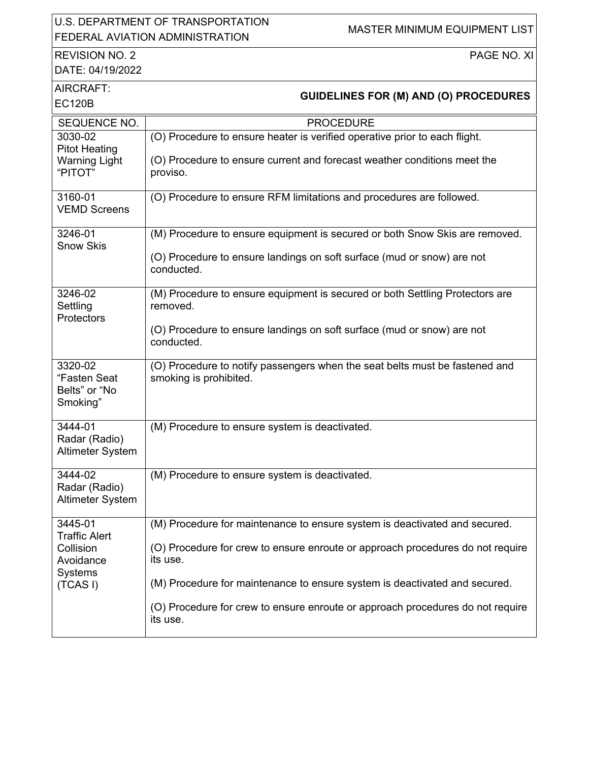### U.S. DEPARTMENT OF TRANSPORTATION OLD. BET ARRIVENT OF TRANSITORIATION MASTER MINIMUM EQUIPMENT LIST

# REVISION NO. 2

PAGE NO. XI

DATE: 04/19/2022

|  | <b>GUIDELINES FOR (M) AND (O) PROCEDURES</b> |  |
|--|----------------------------------------------|--|

| AIRCRAFT:<br><b>EC120B</b>                                                       | <b>GUIDELINES FOR (M) AND (O) PROCEDURES</b>                                                                                                                                                                                                                                                                                                         |
|----------------------------------------------------------------------------------|------------------------------------------------------------------------------------------------------------------------------------------------------------------------------------------------------------------------------------------------------------------------------------------------------------------------------------------------------|
| SEQUENCE NO.                                                                     | <b>PROCEDURE</b>                                                                                                                                                                                                                                                                                                                                     |
| 3030-02<br><b>Pitot Heating</b><br><b>Warning Light</b><br>"PITOT"               | (O) Procedure to ensure heater is verified operative prior to each flight.<br>(O) Procedure to ensure current and forecast weather conditions meet the<br>proviso.                                                                                                                                                                                   |
| 3160-01<br><b>VEMD Screens</b>                                                   | (O) Procedure to ensure RFM limitations and procedures are followed.                                                                                                                                                                                                                                                                                 |
| 3246-01<br><b>Snow Skis</b>                                                      | (M) Procedure to ensure equipment is secured or both Snow Skis are removed.<br>(O) Procedure to ensure landings on soft surface (mud or snow) are not<br>conducted.                                                                                                                                                                                  |
| 3246-02<br>Settling<br>Protectors                                                | (M) Procedure to ensure equipment is secured or both Settling Protectors are<br>removed.<br>(O) Procedure to ensure landings on soft surface (mud or snow) are not<br>conducted.                                                                                                                                                                     |
| 3320-02<br>"Fasten Seat<br>Belts" or "No<br>Smoking"                             | (O) Procedure to notify passengers when the seat belts must be fastened and<br>smoking is prohibited.                                                                                                                                                                                                                                                |
| 3444-01<br>Radar (Radio)<br>Altimeter System                                     | (M) Procedure to ensure system is deactivated.                                                                                                                                                                                                                                                                                                       |
| 3444-02<br>Radar (Radio)<br>Altimeter System                                     | (M) Procedure to ensure system is deactivated.                                                                                                                                                                                                                                                                                                       |
| 3445-01<br><b>Traffic Alert</b><br>Collision<br>Avoidance<br>Systems<br>(TCAS I) | (M) Procedure for maintenance to ensure system is deactivated and secured.<br>(O) Procedure for crew to ensure enroute or approach procedures do not require<br>its use.<br>(M) Procedure for maintenance to ensure system is deactivated and secured.<br>(O) Procedure for crew to ensure enroute or approach procedures do not require<br>its use. |
|                                                                                  |                                                                                                                                                                                                                                                                                                                                                      |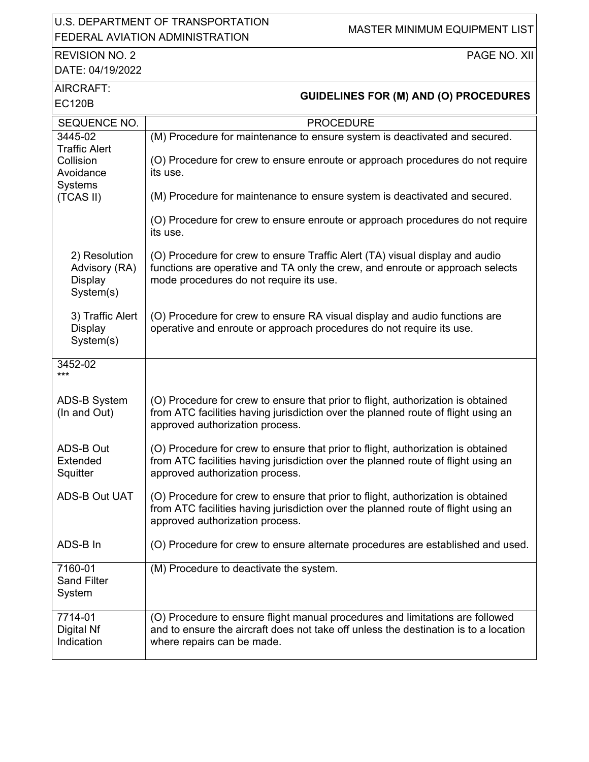### U.S. DEPARTMENT OF TRANSPORTATION U.S. DEPARTMENT OF TRANSPORTATION MASTER MINIMUM EQUIPMENT LIST<br>FEDERAL AVIATION ADMINISTRATION

#### REVISION NO. 2 DATE: 04/19/2022

PAGE NO. XII

| AIRCRAFT:<br><b>EC120B</b>                                    | <b>GUIDELINES FOR (M) AND (O) PROCEDURES</b>                                                                                                                                                             |
|---------------------------------------------------------------|----------------------------------------------------------------------------------------------------------------------------------------------------------------------------------------------------------|
| SEQUENCE NO.                                                  | <b>PROCEDURE</b>                                                                                                                                                                                         |
| 3445-02<br><b>Traffic Alert</b>                               | (M) Procedure for maintenance to ensure system is deactivated and secured.                                                                                                                               |
| Collision<br>Avoidance<br><b>Systems</b>                      | (O) Procedure for crew to ensure enroute or approach procedures do not require<br>its use.                                                                                                               |
| (TCAS II)                                                     | (M) Procedure for maintenance to ensure system is deactivated and secured.                                                                                                                               |
|                                                               | (O) Procedure for crew to ensure enroute or approach procedures do not require<br>its use.                                                                                                               |
| 2) Resolution<br>Advisory (RA)<br><b>Display</b><br>System(s) | (O) Procedure for crew to ensure Traffic Alert (TA) visual display and audio<br>functions are operative and TA only the crew, and enroute or approach selects<br>mode procedures do not require its use. |
| 3) Traffic Alert<br><b>Display</b><br>System(s)               | (O) Procedure for crew to ensure RA visual display and audio functions are<br>operative and enroute or approach procedures do not require its use.                                                       |
| 3452-02<br>***                                                |                                                                                                                                                                                                          |
| <b>ADS-B System</b><br>(In and Out)                           | (O) Procedure for crew to ensure that prior to flight, authorization is obtained<br>from ATC facilities having jurisdiction over the planned route of flight using an<br>approved authorization process. |
| ADS-B Out<br>Extended<br>Squitter                             | (O) Procedure for crew to ensure that prior to flight, authorization is obtained<br>from ATC facilities having jurisdiction over the planned route of flight using an<br>approved authorization process. |
| <b>ADS-B Out UAT</b>                                          | (O) Procedure for crew to ensure that prior to flight, authorization is obtained<br>from ATC facilities having jurisdiction over the planned route of flight using an<br>approved authorization process. |
| ADS-B In                                                      | (O) Procedure for crew to ensure alternate procedures are established and used.                                                                                                                          |
| 7160-01<br><b>Sand Filter</b><br>System                       | (M) Procedure to deactivate the system.                                                                                                                                                                  |
| 7714-01<br>Digital Nf<br>Indication                           | (O) Procedure to ensure flight manual procedures and limitations are followed<br>and to ensure the aircraft does not take off unless the destination is to a location<br>where repairs can be made.      |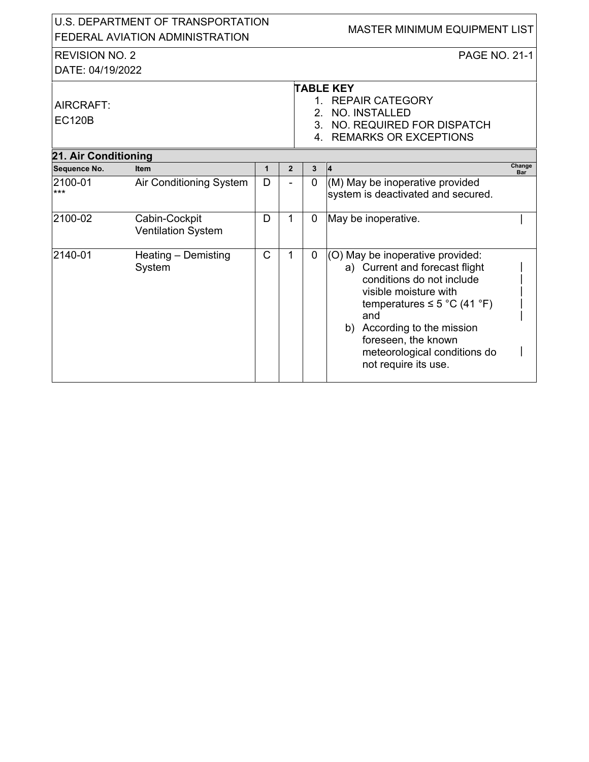| U.S. DEPARTMENT OF TRANSPORTATION<br>FEDERAL AVIATION ADMINISTRATION |                                            |              |                |                | MASTER MINIMUM EQUIPMENT LIST                                                                                                                                                                                                                                                     |
|----------------------------------------------------------------------|--------------------------------------------|--------------|----------------|----------------|-----------------------------------------------------------------------------------------------------------------------------------------------------------------------------------------------------------------------------------------------------------------------------------|
| <b>REVISION NO. 2</b>                                                |                                            |              |                |                | <b>PAGE NO. 21-1</b>                                                                                                                                                                                                                                                              |
| DATE: 04/19/2022                                                     |                                            |              |                |                |                                                                                                                                                                                                                                                                                   |
|                                                                      |                                            |              |                |                | <b>TABLE KEY</b>                                                                                                                                                                                                                                                                  |
| AIRCRAFT:                                                            |                                            |              |                |                | 1. REPAIR CATEGORY                                                                                                                                                                                                                                                                |
| <b>EC120B</b>                                                        |                                            |              |                |                | 2. NO. INSTALLED                                                                                                                                                                                                                                                                  |
|                                                                      |                                            |              |                |                | 3. NO. REQUIRED FOR DISPATCH                                                                                                                                                                                                                                                      |
|                                                                      |                                            |              |                |                | 4. REMARKS OR EXCEPTIONS                                                                                                                                                                                                                                                          |
| 21. Air Conditioning                                                 |                                            |              |                |                |                                                                                                                                                                                                                                                                                   |
| Sequence No.                                                         | Item                                       | $\mathbf{1}$ | $\overline{2}$ | $\mathbf{3}$   | Change<br>$\vert 4 \vert$<br>Bar                                                                                                                                                                                                                                                  |
| 2100-01<br>$***$                                                     | Air Conditioning System                    | D            |                | $\overline{0}$ | (M) May be inoperative provided<br>system is deactivated and secured.                                                                                                                                                                                                             |
| 2100-02                                                              | Cabin-Cockpit<br><b>Ventilation System</b> | D            | 1              | 0              | May be inoperative.                                                                                                                                                                                                                                                               |
| 2140-01                                                              | Heating - Demisting<br>System              | $\mathsf{C}$ | 1              | 0              | (O) May be inoperative provided:<br>a) Current and forecast flight<br>conditions do not include<br>visible moisture with<br>temperatures $\leq$ 5 °C (41 °F)<br>and<br>b) According to the mission<br>foreseen, the known<br>meteorological conditions do<br>not require its use. |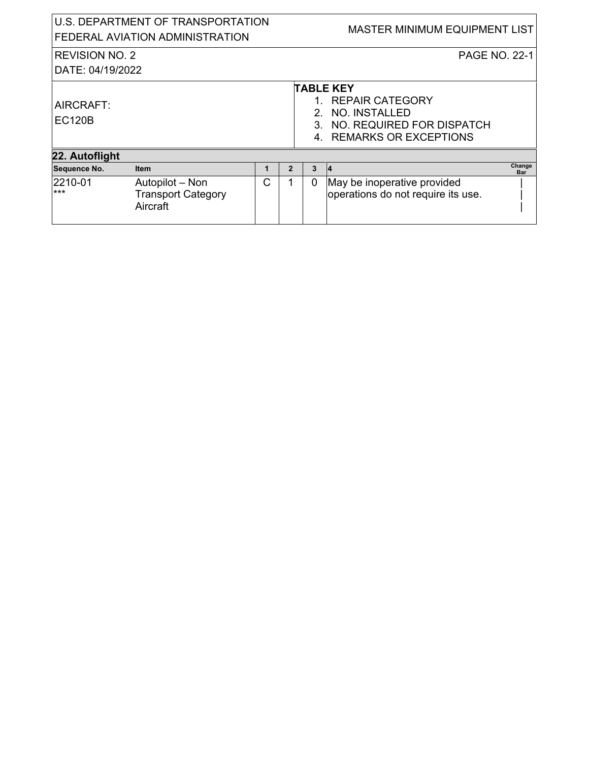| U.S. DEPARTMENT OF TRANSPORTATION<br>FEDERAL AVIATION ADMINISTRATION |                                                          |   |                |   | <b>MASTER MINIMUM EQUIPMENT LIST</b>                                                                                   |                      |
|----------------------------------------------------------------------|----------------------------------------------------------|---|----------------|---|------------------------------------------------------------------------------------------------------------------------|----------------------|
| <b>REVISION NO. 2</b><br>DATE: 04/19/2022                            |                                                          |   |                |   | <b>PAGE NO. 22-1</b>                                                                                                   |                      |
| AIRCRAFT:<br><b>EC120B</b>                                           |                                                          |   |                |   | <b>TABLE KEY</b><br>1. REPAIR CATEGORY<br>2. NO. INSTALLED<br>3. NO. REQUIRED FOR DISPATCH<br>4. REMARKS OR EXCEPTIONS |                      |
| 22. Autoflight                                                       |                                                          |   |                |   |                                                                                                                        |                      |
| Sequence No.                                                         | <b>Item</b>                                              | 1 | $\overline{2}$ | 3 | 14                                                                                                                     | Change<br><b>Bar</b> |
| 2210-01<br>$***$                                                     | Autopilot – Non<br><b>Transport Category</b><br>Aircraft | C |                | 0 | May be inoperative provided<br>operations do not require its use.                                                      |                      |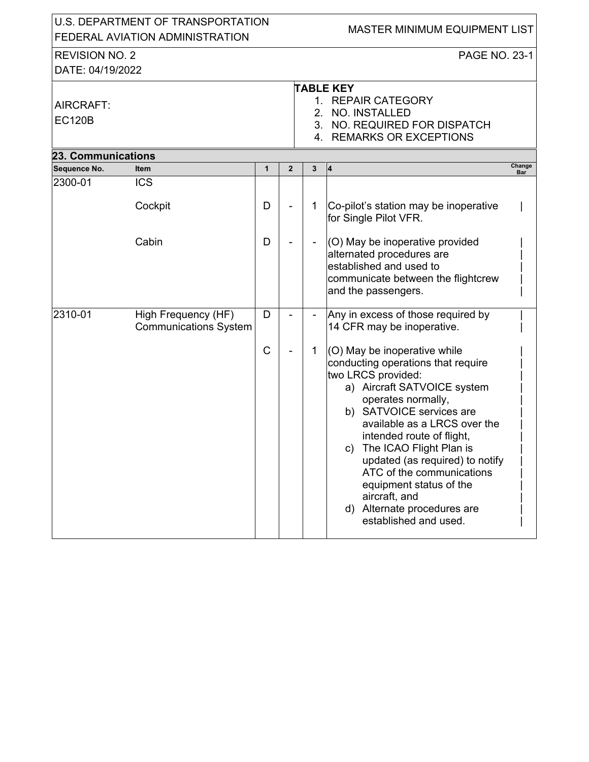| U.S. DEPARTMENT OF TRANSPORTATION<br>FEDERAL AVIATION ADMINISTRATION |                                                     |             |              |   | MASTER MINIMUM EQUIPMENT LIST                                                                                                                                                                                                                                                                                                                                                                                                                  |        |
|----------------------------------------------------------------------|-----------------------------------------------------|-------------|--------------|---|------------------------------------------------------------------------------------------------------------------------------------------------------------------------------------------------------------------------------------------------------------------------------------------------------------------------------------------------------------------------------------------------------------------------------------------------|--------|
| <b>REVISION NO. 2</b><br>DATE: 04/19/2022                            |                                                     |             |              |   | PAGE NO. 23-1                                                                                                                                                                                                                                                                                                                                                                                                                                  |        |
| AIRCRAFT:<br><b>EC120B</b>                                           |                                                     |             |              |   | <b>TABLE KEY</b><br>1. REPAIR CATEGORY<br>2. NO. INSTALLED<br>3. NO. REQUIRED FOR DISPATCH<br>4. REMARKS OR EXCEPTIONS                                                                                                                                                                                                                                                                                                                         |        |
| <b>23. Communications</b>                                            |                                                     |             |              |   |                                                                                                                                                                                                                                                                                                                                                                                                                                                | Change |
| Sequence No.<br>2300-01                                              | Item<br><b>ICS</b>                                  | 1           | $\mathbf{2}$ | 3 | 4                                                                                                                                                                                                                                                                                                                                                                                                                                              | Bar    |
|                                                                      | Cockpit                                             | D           |              | 1 | Co-pilot's station may be inoperative<br>for Single Pilot VFR.                                                                                                                                                                                                                                                                                                                                                                                 |        |
|                                                                      | Cabin                                               | D           |              |   | (O) May be inoperative provided<br>alternated procedures are<br>established and used to<br>communicate between the flightcrew<br>and the passengers.                                                                                                                                                                                                                                                                                           |        |
| 2310-01                                                              | High Frequency (HF)<br><b>Communications System</b> | D           |              |   | Any in excess of those required by<br>14 CFR may be inoperative.                                                                                                                                                                                                                                                                                                                                                                               |        |
|                                                                      |                                                     | $\mathsf C$ |              | 1 | (O) May be inoperative while<br>conducting operations that require<br>two LRCS provided:<br>a) Aircraft SATVOICE system<br>operates normally,<br>b) SATVOICE services are<br>available as a LRCS over the<br>intended route of flight,<br>The ICAO Flight Plan is<br>C)<br>updated (as required) to notify<br>ATC of the communications<br>equipment status of the<br>aircraft, and<br>Alternate procedures are<br>d)<br>established and used. |        |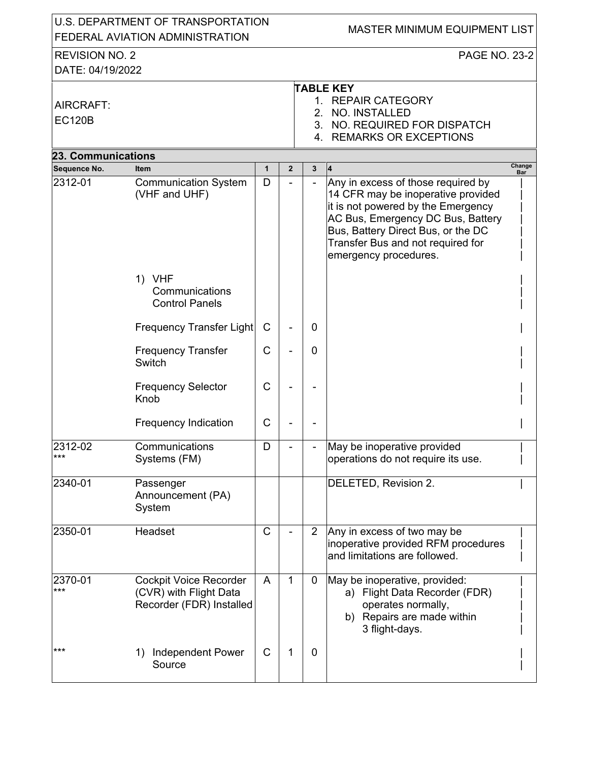| U.S. DEPARTMENT OF TRANSPORTATION<br>FEDERAL AVIATION ADMINISTRATION |                                                                                     |              |                |                | MASTER MINIMUM EQUIPMENT LIST                                                                                                                                                                                                                           |
|----------------------------------------------------------------------|-------------------------------------------------------------------------------------|--------------|----------------|----------------|---------------------------------------------------------------------------------------------------------------------------------------------------------------------------------------------------------------------------------------------------------|
| <b>REVISION NO. 2</b><br>DATE: 04/19/2022                            |                                                                                     |              |                |                | <b>PAGE NO. 23-2</b>                                                                                                                                                                                                                                    |
| AIRCRAFT:<br><b>EC120B</b>                                           |                                                                                     |              |                | $2^{\circ}$    | <b>TABLE KEY</b><br>1. REPAIR CATEGORY<br><b>NO. INSTALLED</b><br>3. NO. REQUIRED FOR DISPATCH<br>4. REMARKS OR EXCEPTIONS                                                                                                                              |
| <b>23. Communications</b>                                            |                                                                                     |              |                |                |                                                                                                                                                                                                                                                         |
| Sequence No.                                                         | <b>Item</b>                                                                         | $\mathbf{1}$ | $\overline{2}$ | 3              | Change<br> 4 <br><b>Bar</b>                                                                                                                                                                                                                             |
| 2312-01                                                              | <b>Communication System</b><br>(VHF and UHF)                                        | D            |                | $\overline{a}$ | Any in excess of those required by<br>14 CFR may be inoperative provided<br>it is not powered by the Emergency<br>AC Bus, Emergency DC Bus, Battery<br>Bus, Battery Direct Bus, or the DC<br>Transfer Bus and not required for<br>emergency procedures. |
|                                                                      | 1) VHF<br>Communications<br><b>Control Panels</b>                                   |              |                |                |                                                                                                                                                                                                                                                         |
|                                                                      | <b>Frequency Transfer Light</b>                                                     | C            |                | 0              |                                                                                                                                                                                                                                                         |
|                                                                      | <b>Frequency Transfer</b><br>Switch                                                 | C            |                | 0              |                                                                                                                                                                                                                                                         |
|                                                                      | <b>Frequency Selector</b><br>Knob                                                   | C            |                |                |                                                                                                                                                                                                                                                         |
|                                                                      | <b>Frequency Indication</b>                                                         | C            |                |                |                                                                                                                                                                                                                                                         |
| 2312-02<br>***                                                       | Communications<br>Systems (FM)                                                      | D            |                |                | May be inoperative provided<br>operations do not require its use.                                                                                                                                                                                       |
| 2340-01                                                              | Passenger<br>Announcement (PA)<br>System                                            |              |                |                | DELETED, Revision 2.                                                                                                                                                                                                                                    |
| 2350-01                                                              | Headset                                                                             | C            |                | $\overline{2}$ | Any in excess of two may be<br>inoperative provided RFM procedures<br>and limitations are followed.                                                                                                                                                     |
| 2370-01<br>***                                                       | <b>Cockpit Voice Recorder</b><br>(CVR) with Flight Data<br>Recorder (FDR) Installed | A            | 1              | $\mathbf 0$    | May be inoperative, provided:<br>a) Flight Data Recorder (FDR)<br>operates normally,<br>b) Repairs are made within<br>3 flight-days.                                                                                                                    |
| $***$                                                                | <b>Independent Power</b><br>1)<br>Source                                            | $\mathsf{C}$ | 1              | $\mathbf 0$    |                                                                                                                                                                                                                                                         |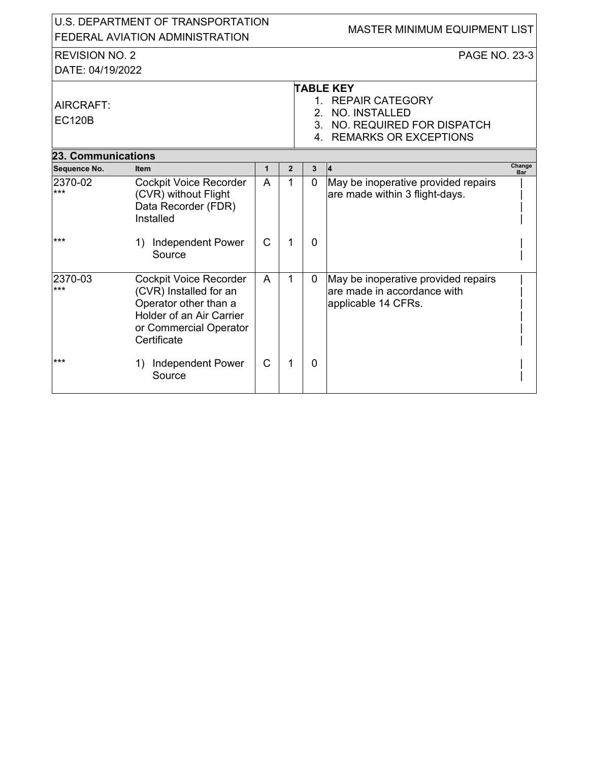|                           | U.S. DEPARTMENT OF TRANSPORTATION<br>FEDERAL AVIATION ADMINISTRATION                                                                                  |                |                | MASTER MINIMUM EQUIPMENT LIST |                                                                                           |  |  |  |
|---------------------------|-------------------------------------------------------------------------------------------------------------------------------------------------------|----------------|----------------|-------------------------------|-------------------------------------------------------------------------------------------|--|--|--|
| <b>REVISION NO. 2</b>     |                                                                                                                                                       |                |                |                               | PAGE NO. 23-3                                                                             |  |  |  |
| DATE: 04/19/2022          |                                                                                                                                                       |                |                |                               |                                                                                           |  |  |  |
|                           |                                                                                                                                                       |                |                |                               | <b>TABLE KEY</b>                                                                          |  |  |  |
| AIRCRAFT:                 |                                                                                                                                                       |                |                | $1 \quad$                     | <b>REPAIR CATEGORY</b>                                                                    |  |  |  |
| <b>EC120B</b>             |                                                                                                                                                       |                |                |                               | 2. NO. INSTALLED                                                                          |  |  |  |
|                           |                                                                                                                                                       |                |                |                               | 3. NO. REQUIRED FOR DISPATCH                                                              |  |  |  |
|                           |                                                                                                                                                       |                |                |                               | 4. REMARKS OR EXCEPTIONS                                                                  |  |  |  |
| <b>23. Communications</b> |                                                                                                                                                       |                |                |                               |                                                                                           |  |  |  |
| Sequence No.              | <b>Item</b>                                                                                                                                           | $\mathbf{1}$   | $\overline{2}$ | $\mathbf{3}$                  | Change<br>4<br>Bar                                                                        |  |  |  |
| 2370-02<br>***            | <b>Cockpit Voice Recorder</b><br>(CVR) without Flight<br>Data Recorder (FDR)<br>Installed                                                             | $\overline{A}$ | 1              | $\overline{0}$                | May be inoperative provided repairs<br>are made within 3 flight-days.                     |  |  |  |
| ***                       | 1) Independent Power<br>Source                                                                                                                        | $\mathsf{C}$   | 1              | $\mathbf{0}$                  |                                                                                           |  |  |  |
| 2370-03<br>***            | <b>Cockpit Voice Recorder</b><br>(CVR) Installed for an<br>Operator other than a<br>Holder of an Air Carrier<br>or Commercial Operator<br>Certificate | $\overline{A}$ | 1              | $\mathbf 0$                   | May be inoperative provided repairs<br>are made in accordance with<br>applicable 14 CFRs. |  |  |  |
| ***                       | <b>Independent Power</b><br>1)<br>Source                                                                                                              | $\mathsf{C}$   |                | $\mathbf{0}$                  |                                                                                           |  |  |  |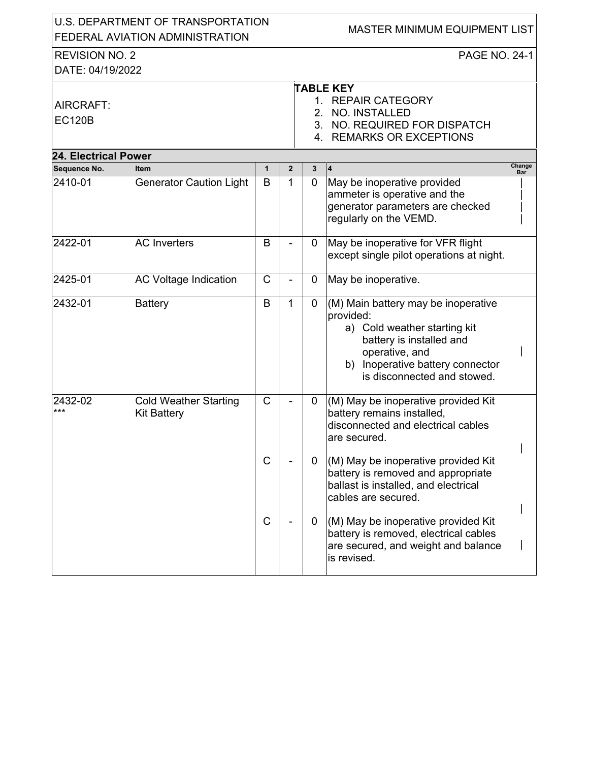| U.S. DEPARTMENT OF TRANSPORTATION<br>FEDERAL AVIATION ADMINISTRATION |                                                    |              |                |                | MASTER MINIMUM EQUIPMENT LIST                                                                                                                                                                     |                      |
|----------------------------------------------------------------------|----------------------------------------------------|--------------|----------------|----------------|---------------------------------------------------------------------------------------------------------------------------------------------------------------------------------------------------|----------------------|
| <b>REVISION NO. 2</b>                                                |                                                    |              |                |                | <b>PAGE NO. 24-1</b>                                                                                                                                                                              |                      |
| DATE: 04/19/2022                                                     |                                                    |              |                |                |                                                                                                                                                                                                   |                      |
| AIRCRAFT:<br><b>EC120B</b>                                           |                                                    |              |                | 2.             | <b>TABLE KEY</b><br>1. REPAIR CATEGORY<br>NO. INSTALLED<br>3. NO. REQUIRED FOR DISPATCH<br>4. REMARKS OR EXCEPTIONS                                                                               |                      |
| <b>24. Electrical Power</b>                                          |                                                    |              |                |                |                                                                                                                                                                                                   |                      |
| Sequence No.                                                         | <b>Item</b>                                        | $\mathbf{1}$ | $\overline{2}$ | 3              | 4                                                                                                                                                                                                 | Change<br><b>Bar</b> |
| 2410-01                                                              | <b>Generator Caution Light</b>                     | B            | 1              | $\overline{0}$ | May be inoperative provided<br>ammeter is operative and the<br>generator parameters are checked<br>regularly on the VEMD.                                                                         |                      |
| 2422-01                                                              | <b>AC</b> Inverters                                | B            |                | 0              | May be inoperative for VFR flight<br>except single pilot operations at night.                                                                                                                     |                      |
| 2425-01                                                              | <b>AC Voltage Indication</b>                       | $\mathsf{C}$ |                | $\mathbf 0$    | May be inoperative.                                                                                                                                                                               |                      |
| 2432-01                                                              | <b>Battery</b>                                     | B            | 1              | $\mathbf 0$    | (M) Main battery may be inoperative<br>provided:<br>a) Cold weather starting kit<br>battery is installed and<br>operative, and<br>b) Inoperative battery connector<br>is disconnected and stowed. |                      |
| 2432-02<br>***                                                       | <b>Cold Weather Starting</b><br><b>Kit Battery</b> | $\mathsf{C}$ |                | 0              | (M) May be inoperative provided Kit<br>battery remains installed,<br>disconnected and electrical cables<br>are secured.                                                                           |                      |
|                                                                      |                                                    | C            |                | $\mathbf 0$    | (M) May be inoperative provided Kit<br>battery is removed and appropriate<br>ballast is installed, and electrical<br>cables are secured.                                                          |                      |
|                                                                      |                                                    | C            |                | 0              | (M) May be inoperative provided Kit<br>battery is removed, electrical cables<br>are secured, and weight and balance<br>is revised.                                                                |                      |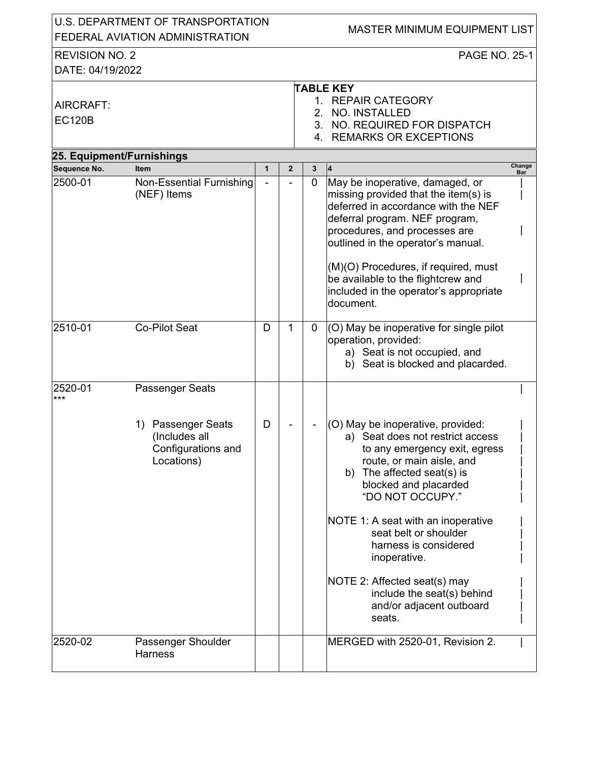| U.S. DEPARTMENT OF TRANSPORTATION<br>FEDERAL AVIATION ADMINISTRATION |                                                                                               |              | <b>MASTER MINIMUM EQUIPMENT LIST</b> |                |                                                                                                                                                                                                                                                                                                                                                                                                                               |  |
|----------------------------------------------------------------------|-----------------------------------------------------------------------------------------------|--------------|--------------------------------------|----------------|-------------------------------------------------------------------------------------------------------------------------------------------------------------------------------------------------------------------------------------------------------------------------------------------------------------------------------------------------------------------------------------------------------------------------------|--|
| <b>REVISION NO. 2</b><br>DATE: 04/19/2022                            |                                                                                               |              |                                      |                | <b>PAGE NO. 25-1</b>                                                                                                                                                                                                                                                                                                                                                                                                          |  |
| AIRCRAFT:<br><b>EC120B</b>                                           |                                                                                               |              |                                      |                | <b>TABLE KEY</b><br>1. REPAIR CATEGORY<br>2. NO. INSTALLED<br>3. NO. REQUIRED FOR DISPATCH<br>4. REMARKS OR EXCEPTIONS                                                                                                                                                                                                                                                                                                        |  |
| 25. Equipment/Furnishings                                            |                                                                                               |              |                                      |                |                                                                                                                                                                                                                                                                                                                                                                                                                               |  |
| Sequence No.                                                         | <b>Item</b>                                                                                   | $\mathbf{1}$ | $\overline{2}$                       | 3              | Change<br>Bar                                                                                                                                                                                                                                                                                                                                                                                                                 |  |
| 2500-01                                                              | <b>Non-Essential Furnishing</b><br>(NEF) Items                                                |              |                                      | $\overline{0}$ | May be inoperative, damaged, or<br>missing provided that the item(s) is<br>deferred in accordance with the NEF<br>deferral program. NEF program,<br>procedures, and processes are<br>outlined in the operator's manual.<br>(M)(O) Procedures, if required, must<br>be available to the flightcrew and<br>included in the operator's appropriate<br>document.                                                                  |  |
| $2510 - 01$                                                          | <b>Co-Pilot Seat</b>                                                                          | D            | 1                                    | $\overline{0}$ | (O) May be inoperative for single pilot<br>operation, provided:<br>a) Seat is not occupied, and<br>b) Seat is blocked and placarded.                                                                                                                                                                                                                                                                                          |  |
| 2520-01<br>***                                                       | Passenger Seats<br>Passenger Seats<br>1)<br>(Includes all<br>Configurations and<br>Locations) | D            |                                      |                | (O) May be inoperative, provided:<br>a) Seat does not restrict access<br>to any emergency exit, egress<br>route, or main aisle, and<br>The affected seat(s) is<br>b)<br>blocked and placarded<br>"DO NOT OCCUPY."<br>NOTE 1: A seat with an inoperative<br>seat belt or shoulder<br>harness is considered<br>inoperative.<br>NOTE 2: Affected seat(s) may<br>include the seat(s) behind<br>and/or adjacent outboard<br>seats. |  |
| 2520-02                                                              | Passenger Shoulder<br><b>Harness</b>                                                          |              |                                      |                | MERGED with 2520-01, Revision 2.                                                                                                                                                                                                                                                                                                                                                                                              |  |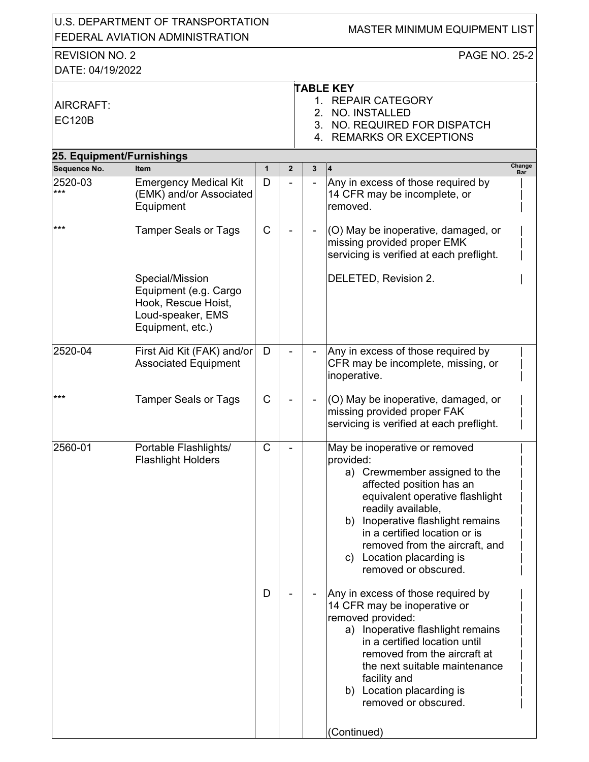| U.S. DEPARTMENT OF TRANSPORTATION<br>FEDERAL AVIATION ADMINISTRATION |                                                                                                          |             |                |   | MASTER MINIMUM EQUIPMENT LIST                                                                                                                                                                                                                                                                                                                                                                                                                                                                                                                                                                                   |
|----------------------------------------------------------------------|----------------------------------------------------------------------------------------------------------|-------------|----------------|---|-----------------------------------------------------------------------------------------------------------------------------------------------------------------------------------------------------------------------------------------------------------------------------------------------------------------------------------------------------------------------------------------------------------------------------------------------------------------------------------------------------------------------------------------------------------------------------------------------------------------|
| <b>REVISION NO. 2</b><br>DATE: 04/19/2022                            |                                                                                                          |             |                |   | <b>PAGE NO. 25-2</b>                                                                                                                                                                                                                                                                                                                                                                                                                                                                                                                                                                                            |
| AIRCRAFT:<br><b>EC120B</b>                                           |                                                                                                          |             |                |   | <b>TABLE KEY</b><br>1. REPAIR CATEGORY<br>2. NO. INSTALLED<br>3. NO. REQUIRED FOR DISPATCH<br>4. REMARKS OR EXCEPTIONS                                                                                                                                                                                                                                                                                                                                                                                                                                                                                          |
| 25. Equipment/Furnishings                                            |                                                                                                          |             |                |   |                                                                                                                                                                                                                                                                                                                                                                                                                                                                                                                                                                                                                 |
| Sequence No.                                                         | <b>Item</b>                                                                                              | 1           | $\overline{2}$ | 3 | Change<br>14<br>Bar                                                                                                                                                                                                                                                                                                                                                                                                                                                                                                                                                                                             |
| 2520-03<br>***                                                       | <b>Emergency Medical Kit</b><br>(EMK) and/or Associated<br>Equipment                                     | D           |                |   | Any in excess of those required by<br>14 CFR may be incomplete, or<br>removed.                                                                                                                                                                                                                                                                                                                                                                                                                                                                                                                                  |
| $***$                                                                | <b>Tamper Seals or Tags</b>                                                                              | $\mathsf C$ |                |   | (O) May be inoperative, damaged, or<br>missing provided proper EMK<br>servicing is verified at each preflight.                                                                                                                                                                                                                                                                                                                                                                                                                                                                                                  |
|                                                                      | Special/Mission<br>Equipment (e.g. Cargo<br>Hook, Rescue Hoist,<br>Loud-speaker, EMS<br>Equipment, etc.) |             |                |   | DELETED, Revision 2.                                                                                                                                                                                                                                                                                                                                                                                                                                                                                                                                                                                            |
| 2520-04                                                              | First Aid Kit (FAK) and/or<br><b>Associated Equipment</b>                                                | D           |                |   | Any in excess of those required by<br>CFR may be incomplete, missing, or<br>inoperative.                                                                                                                                                                                                                                                                                                                                                                                                                                                                                                                        |
| ***                                                                  | <b>Tamper Seals or Tags</b>                                                                              | C           |                |   | (O) May be inoperative, damaged, or<br>missing provided proper FAK<br>servicing is verified at each preflight.                                                                                                                                                                                                                                                                                                                                                                                                                                                                                                  |
| 2560-01                                                              | Portable Flashlights/<br><b>Flashlight Holders</b>                                                       | C<br>D      |                |   | May be inoperative or removed<br>provided:<br>a) Crewmember assigned to the<br>affected position has an<br>equivalent operative flashlight<br>readily available,<br>Inoperative flashlight remains<br>b)<br>in a certified location or is<br>removed from the aircraft, and<br>c) Location placarding is<br>removed or obscured.<br>Any in excess of those required by<br>14 CFR may be inoperative or<br>removed provided:<br>a) Inoperative flashlight remains<br>in a certified location until<br>removed from the aircraft at<br>the next suitable maintenance<br>facility and<br>b) Location placarding is |
|                                                                      |                                                                                                          |             |                |   | removed or obscured.<br>(Continued)                                                                                                                                                                                                                                                                                                                                                                                                                                                                                                                                                                             |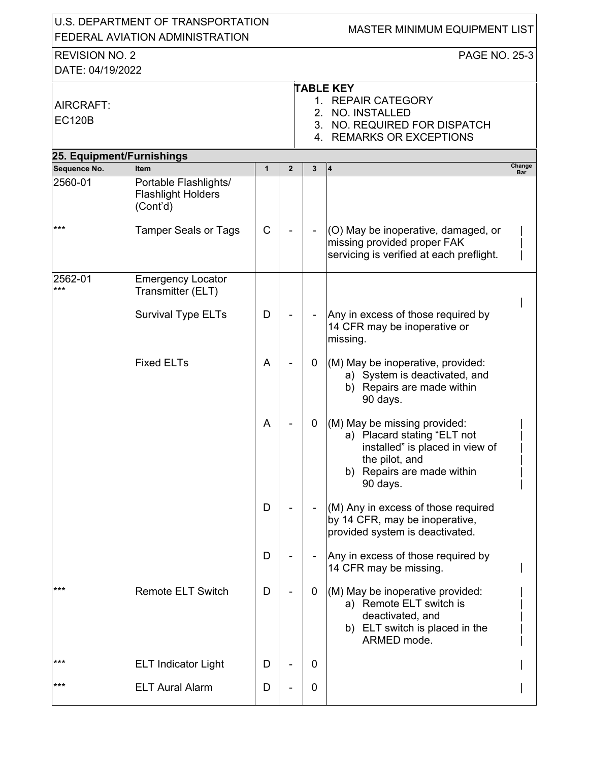| U.S. DEPARTMENT OF TRANSPORTATION<br>FEDERAL AVIATION ADMINISTRATION |                                                                |              |                |             | <b>MASTER MINIMUM EQUIPMENT LIST</b>                                                                                                                       |        |  |  |  |  |
|----------------------------------------------------------------------|----------------------------------------------------------------|--------------|----------------|-------------|------------------------------------------------------------------------------------------------------------------------------------------------------------|--------|--|--|--|--|
| <b>REVISION NO. 2</b><br>DATE: 04/19/2022                            |                                                                |              |                |             | <b>PAGE NO. 25-3</b>                                                                                                                                       |        |  |  |  |  |
| AIRCRAFT:<br><b>EC120B</b>                                           |                                                                |              |                | $2_{-}$     | <b>TABLE KEY</b><br>1. REPAIR CATEGORY<br>NO. INSTALLED<br>3. NO. REQUIRED FOR DISPATCH<br>4. REMARKS OR EXCEPTIONS                                        |        |  |  |  |  |
| 25. Equipment/Furnishings                                            |                                                                |              |                |             |                                                                                                                                                            |        |  |  |  |  |
| Sequence No.                                                         | <b>Item</b>                                                    | $\mathbf{1}$ | $\overline{2}$ | 3           | $\overline{4}$                                                                                                                                             | Change |  |  |  |  |
| 2560-01                                                              | Portable Flashlights/<br><b>Flashlight Holders</b><br>(Cont'd) |              |                |             |                                                                                                                                                            | Bar    |  |  |  |  |
| $***$                                                                | <b>Tamper Seals or Tags</b>                                    | $\mathsf C$  |                |             | (O) May be inoperative, damaged, or<br>missing provided proper FAK<br>servicing is verified at each preflight.                                             |        |  |  |  |  |
| 2562-01<br>***                                                       | <b>Emergency Locator</b><br>Transmitter (ELT)                  |              |                |             |                                                                                                                                                            |        |  |  |  |  |
|                                                                      | <b>Survival Type ELTs</b>                                      | D            |                |             | Any in excess of those required by<br>14 CFR may be inoperative or<br>missing.                                                                             |        |  |  |  |  |
|                                                                      | <b>Fixed ELTs</b>                                              | A            |                | $\mathbf 0$ | (M) May be inoperative, provided:<br>a) System is deactivated, and<br>b) Repairs are made within<br>90 days.                                               |        |  |  |  |  |
|                                                                      |                                                                | A            |                | 0           | (M) May be missing provided:<br>a) Placard stating "ELT not<br>installed" is placed in view of<br>the pilot, and<br>b) Repairs are made within<br>90 days. |        |  |  |  |  |
|                                                                      |                                                                | D            |                |             | (M) Any in excess of those required<br>by 14 CFR, may be inoperative,<br>provided system is deactivated.                                                   |        |  |  |  |  |
|                                                                      |                                                                | D            |                |             | Any in excess of those required by<br>14 CFR may be missing.                                                                                               |        |  |  |  |  |
| $***$                                                                | <b>Remote ELT Switch</b>                                       | D            |                | 0           | (M) May be inoperative provided:<br>a) Remote ELT switch is<br>deactivated, and<br>b) ELT switch is placed in the<br>ARMED mode.                           |        |  |  |  |  |
| $***$                                                                | <b>ELT Indicator Light</b>                                     | D            |                | 0           |                                                                                                                                                            |        |  |  |  |  |
| $***$                                                                | <b>ELT Aural Alarm</b>                                         | D            |                | 0           |                                                                                                                                                            |        |  |  |  |  |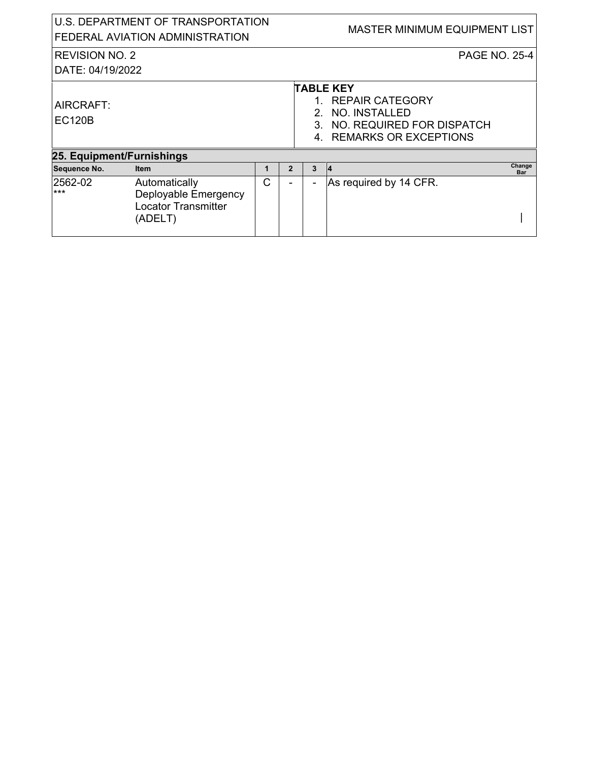| U.S. DEPARTMENT OF TRANSPORTATION<br>FEDERAL AVIATION ADMINISTRATION           |   |                |                | <b>MASTER MINIMUM EQUIPMENT LIST</b> |                                                                                                          |
|--------------------------------------------------------------------------------|---|----------------|----------------|--------------------------------------|----------------------------------------------------------------------------------------------------------|
| <b>REVISION NO. 2</b>                                                          |   |                |                | <b>PAGE NO. 25-4</b>                 |                                                                                                          |
| DATE: 04/19/2022                                                               |   |                |                |                                      |                                                                                                          |
|                                                                                |   |                |                | NO. INSTALLED                        |                                                                                                          |
| 25. Equipment/Furnishings                                                      |   |                |                |                                      |                                                                                                          |
| <b>Item</b>                                                                    | 1 | $\overline{2}$ | 3              | Change<br>Bar                        |                                                                                                          |
| Automatically<br>Deployable Emergency<br><b>Locator Transmitter</b><br>(ADELT) | C |                | $\blacksquare$ | As required by 14 CFR.               |                                                                                                          |
|                                                                                |   |                |                | 2.                                   | <b>TABLE KEY</b><br>1. REPAIR CATEGORY<br>3. NO. REQUIRED FOR DISPATCH<br>4. REMARKS OR EXCEPTIONS<br>14 |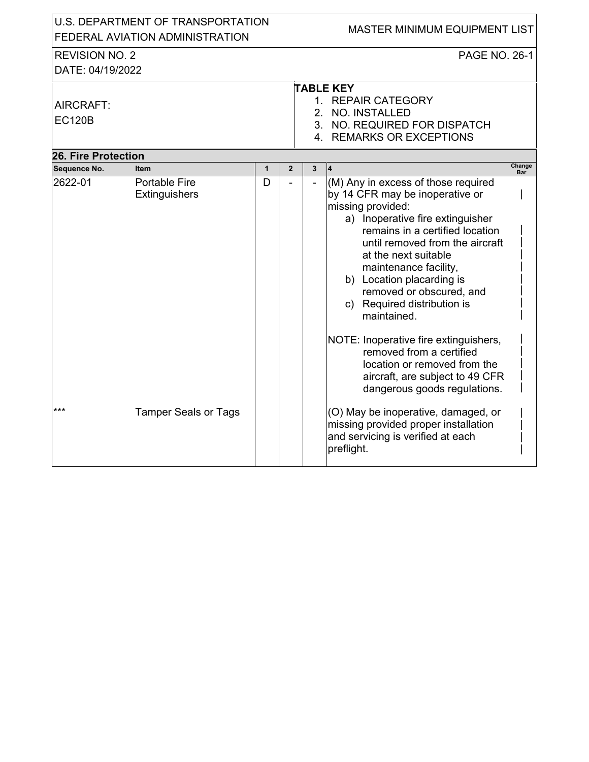|                                           | U.S. DEPARTMENT OF TRANSPORTATION<br>FEDERAL AVIATION ADMINISTRATION |                   |                |                     | <b>MASTER MINIMUM EQUIPMENT LIST</b>                                                                                                                                                                                                                                                                                                                                                                                                                                                                                                  |            |
|-------------------------------------------|----------------------------------------------------------------------|-------------------|----------------|---------------------|---------------------------------------------------------------------------------------------------------------------------------------------------------------------------------------------------------------------------------------------------------------------------------------------------------------------------------------------------------------------------------------------------------------------------------------------------------------------------------------------------------------------------------------|------------|
| <b>REVISION NO. 2</b><br>DATE: 04/19/2022 |                                                                      |                   |                |                     | PAGE NO. 26-1                                                                                                                                                                                                                                                                                                                                                                                                                                                                                                                         |            |
| AIRCRAFT:<br><b>EC120B</b>                |                                                                      |                   |                |                     | <b>TABLE KEY</b><br>1. REPAIR CATEGORY<br>2. NO. INSTALLED<br>3. NO. REQUIRED FOR DISPATCH<br>4. REMARKS OR EXCEPTIONS                                                                                                                                                                                                                                                                                                                                                                                                                |            |
| <b>26. Fire Protection</b>                |                                                                      |                   |                |                     |                                                                                                                                                                                                                                                                                                                                                                                                                                                                                                                                       | Change     |
| Sequence No.<br>2622-01                   | <b>Item</b><br><b>Portable Fire</b><br>Extinguishers                 | $\mathbf{1}$<br>D | $\overline{2}$ | 3<br>$\overline{a}$ | (M) Any in excess of those required<br>by 14 CFR may be inoperative or<br>missing provided:<br>a) Inoperative fire extinguisher<br>remains in a certified location<br>until removed from the aircraft<br>at the next suitable<br>maintenance facility,<br>b) Location placarding is<br>removed or obscured, and<br>c) Required distribution is<br>maintained.<br>NOTE: Inoperative fire extinguishers,<br>removed from a certified<br>location or removed from the<br>aircraft, are subject to 49 CFR<br>dangerous goods regulations. | <b>Bar</b> |
| $***$                                     | <b>Tamper Seals or Tags</b>                                          |                   |                |                     | (O) May be inoperative, damaged, or<br>missing provided proper installation<br>and servicing is verified at each<br>preflight.                                                                                                                                                                                                                                                                                                                                                                                                        |            |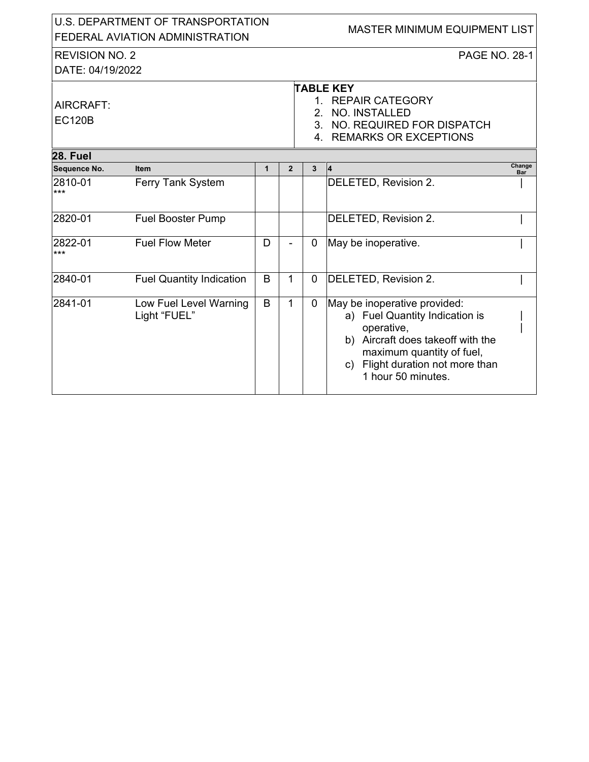| U.S. DEPARTMENT OF TRANSPORTATION<br>FEDERAL AVIATION ADMINISTRATION |                                        |              |                |             | <b>MASTER MINIMUM EQUIPMENT LIST</b>                                                                                                                                                                        |
|----------------------------------------------------------------------|----------------------------------------|--------------|----------------|-------------|-------------------------------------------------------------------------------------------------------------------------------------------------------------------------------------------------------------|
| <b>REVISION NO. 2</b>                                                |                                        |              |                |             | <b>PAGE NO. 28-1</b>                                                                                                                                                                                        |
| DATE: 04/19/2022                                                     |                                        |              |                |             |                                                                                                                                                                                                             |
| AIRCRAFT:                                                            |                                        |              |                |             | <b>TABLE KEY</b><br>1. REPAIR CATEGORY                                                                                                                                                                      |
| <b>EC120B</b>                                                        |                                        |              |                | 2.          | NO. INSTALLED                                                                                                                                                                                               |
|                                                                      |                                        |              |                |             | 3. NO. REQUIRED FOR DISPATCH                                                                                                                                                                                |
|                                                                      |                                        |              |                |             | 4. REMARKS OR EXCEPTIONS                                                                                                                                                                                    |
| <b>28. Fuel</b>                                                      |                                        |              |                |             |                                                                                                                                                                                                             |
| Sequence No.                                                         | <b>Item</b>                            | $\mathbf{1}$ | $\overline{2}$ | 3           | Change<br>4<br>Bar                                                                                                                                                                                          |
| 2810-01<br>$***$                                                     | Ferry Tank System                      |              |                |             | DELETED, Revision 2.                                                                                                                                                                                        |
| 2820-01                                                              | <b>Fuel Booster Pump</b>               |              |                |             | DELETED, Revision 2.                                                                                                                                                                                        |
| 2822-01<br>$***$                                                     | <b>Fuel Flow Meter</b>                 | D            |                | 0           | May be inoperative.                                                                                                                                                                                         |
| 2840-01                                                              | <b>Fuel Quantity Indication</b>        | B            | $\mathbf{1}$   | $\mathbf 0$ | DELETED, Revision 2.                                                                                                                                                                                        |
| 2841-01                                                              | Low Fuel Level Warning<br>Light "FUEL" | B            | $\mathbf{1}$   | $\mathbf 0$ | May be inoperative provided:<br>a) Fuel Quantity Indication is<br>operative,<br>b) Aircraft does takeoff with the<br>maximum quantity of fuel,<br>Flight duration not more than<br>C)<br>1 hour 50 minutes. |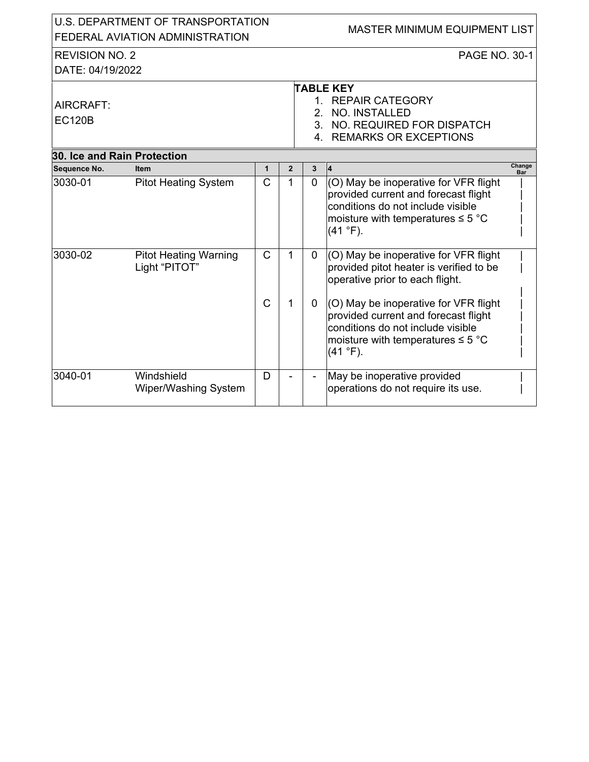|                                 | U.S. DEPARTMENT OF TRANSPORTATION             |                |                |                          | <b>MASTER MINIMUM EQUIPMENT LIST</b>                                                                                                                                        |                      |
|---------------------------------|-----------------------------------------------|----------------|----------------|--------------------------|-----------------------------------------------------------------------------------------------------------------------------------------------------------------------------|----------------------|
| FEDERAL AVIATION ADMINISTRATION |                                               |                |                |                          |                                                                                                                                                                             |                      |
| <b>REVISION NO. 2</b>           |                                               |                |                |                          | <b>PAGE NO. 30-1</b>                                                                                                                                                        |                      |
| DATE: 04/19/2022                |                                               |                |                |                          |                                                                                                                                                                             |                      |
|                                 |                                               |                |                |                          | <b>TABLE KEY</b>                                                                                                                                                            |                      |
| AIRCRAFT:                       |                                               |                |                |                          | 1. REPAIR CATEGORY                                                                                                                                                          |                      |
|                                 |                                               |                |                | 2.                       | NO. INSTALLED                                                                                                                                                               |                      |
| <b>EC120B</b>                   |                                               |                |                |                          | 3. NO. REQUIRED FOR DISPATCH                                                                                                                                                |                      |
|                                 |                                               |                |                |                          | 4. REMARKS OR EXCEPTIONS                                                                                                                                                    |                      |
| 30. Ice and Rain Protection     |                                               |                |                |                          |                                                                                                                                                                             |                      |
| Sequence No.                    | <b>Item</b>                                   | $\mathbf 1$    | $\overline{2}$ | $\mathbf{3}$             | 14                                                                                                                                                                          | Change<br><b>Bar</b> |
| 3030-01                         | <b>Pitot Heating System</b>                   | $\overline{C}$ | 1              | $\overline{0}$           | (O) May be inoperative for VFR flight<br>provided current and forecast flight<br>conditions do not include visible<br>moisture with temperatures $\leq 5$ °C<br>(41 °F).    |                      |
| 3030-02                         | <b>Pitot Heating Warning</b><br>Light "PITOT" | $\mathsf{C}$   | $\mathbf{1}$   | $\mathbf 0$              | (O) May be inoperative for VFR flight<br>provided pitot heater is verified to be<br>operative prior to each flight.                                                         |                      |
|                                 |                                               | $\mathsf{C}$   | 1              | 0                        | (O) May be inoperative for VFR flight<br>provided current and forecast flight<br>conditions do not include visible<br>moisture with temperatures $\leq 5$ °C<br>$(41 °F)$ . |                      |
| 3040-01                         | Windshield<br>Wiper/Washing System            | D              |                | $\overline{\phantom{a}}$ | May be inoperative provided<br>operations do not require its use.                                                                                                           |                      |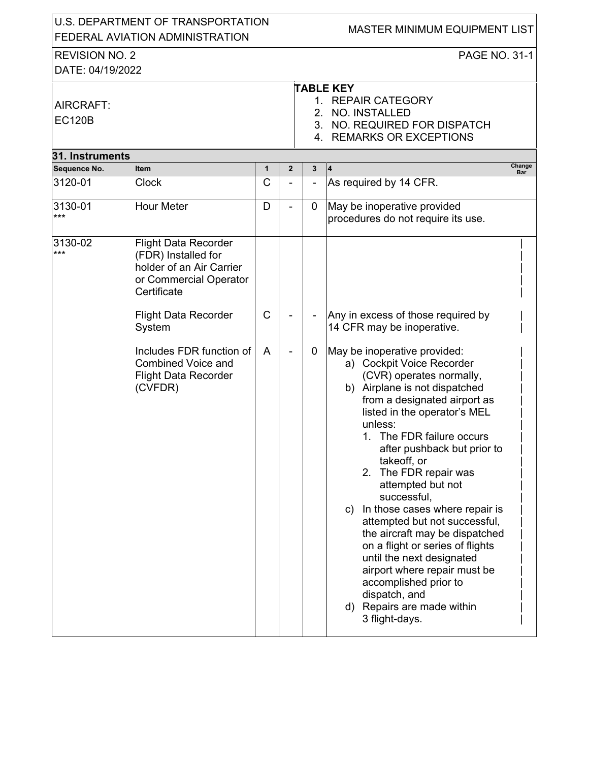|                            | U.S. DEPARTMENT OF TRANSPORTATION<br>FEDERAL AVIATION ADMINISTRATION                                                                                                                                                                                         |                   |              |   | <b>MASTER MINIMUM EQUIPMENT LIST</b>                                                                                                                                                                                                                                                                                                                                                                                                                                                                                                                                                                                                                                                                             |
|----------------------------|--------------------------------------------------------------------------------------------------------------------------------------------------------------------------------------------------------------------------------------------------------------|-------------------|--------------|---|------------------------------------------------------------------------------------------------------------------------------------------------------------------------------------------------------------------------------------------------------------------------------------------------------------------------------------------------------------------------------------------------------------------------------------------------------------------------------------------------------------------------------------------------------------------------------------------------------------------------------------------------------------------------------------------------------------------|
| <b>REVISION NO. 2</b>      |                                                                                                                                                                                                                                                              |                   |              |   | PAGE NO. 31-1                                                                                                                                                                                                                                                                                                                                                                                                                                                                                                                                                                                                                                                                                                    |
| DATE: 04/19/2022           |                                                                                                                                                                                                                                                              |                   |              |   |                                                                                                                                                                                                                                                                                                                                                                                                                                                                                                                                                                                                                                                                                                                  |
| AIRCRAFT:<br><b>EC120B</b> |                                                                                                                                                                                                                                                              |                   |              |   | <b>TABLE KEY</b><br>1. REPAIR CATEGORY<br>2. NO. INSTALLED<br>3. NO. REQUIRED FOR DISPATCH<br>4. REMARKS OR EXCEPTIONS                                                                                                                                                                                                                                                                                                                                                                                                                                                                                                                                                                                           |
| 31. Instruments            |                                                                                                                                                                                                                                                              |                   |              |   | Change                                                                                                                                                                                                                                                                                                                                                                                                                                                                                                                                                                                                                                                                                                           |
| Sequence No.<br>3120-01    | <b>Item</b><br><b>Clock</b>                                                                                                                                                                                                                                  | 1<br>$\mathsf C$  | $\mathbf{2}$ | 3 | 4<br>Bar                                                                                                                                                                                                                                                                                                                                                                                                                                                                                                                                                                                                                                                                                                         |
|                            |                                                                                                                                                                                                                                                              |                   |              |   | As required by 14 CFR.                                                                                                                                                                                                                                                                                                                                                                                                                                                                                                                                                                                                                                                                                           |
| 3130-01<br>***             | <b>Hour Meter</b>                                                                                                                                                                                                                                            | D                 |              | 0 | May be inoperative provided<br>procedures do not require its use.                                                                                                                                                                                                                                                                                                                                                                                                                                                                                                                                                                                                                                                |
| 3130-02<br>***             | <b>Flight Data Recorder</b><br>(FDR) Installed for<br>holder of an Air Carrier<br>or Commercial Operator<br>Certificate<br><b>Flight Data Recorder</b><br>System<br>Includes FDR function of<br>Combined Voice and<br><b>Flight Data Recorder</b><br>(CVFDR) | $\mathsf{C}$<br>A |              | 0 | Any in excess of those required by<br>14 CFR may be inoperative.<br>May be inoperative provided:<br>a) Cockpit Voice Recorder<br>(CVR) operates normally,<br>b) Airplane is not dispatched<br>from a designated airport as<br>listed in the operator's MEL<br>unless:<br>1. The FDR failure occurs<br>after pushback but prior to<br>takeoff, or<br>2. The FDR repair was<br>attempted but not<br>successful,<br>c) In those cases where repair is<br>attempted but not successful,<br>the aircraft may be dispatched<br>on a flight or series of flights<br>until the next designated<br>airport where repair must be<br>accomplished prior to<br>dispatch, and<br>d) Repairs are made within<br>3 flight-days. |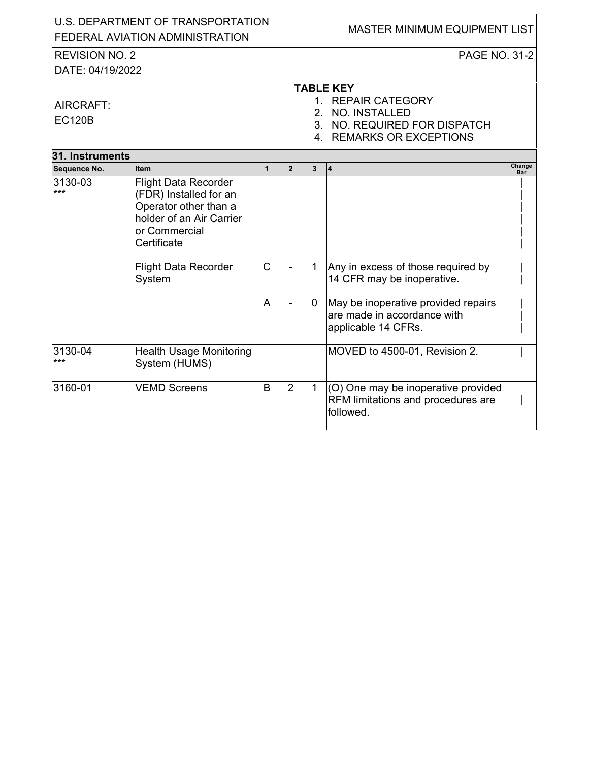| U.S. DEPARTMENT OF TRANSPORTATION<br>FEDERAL AVIATION ADMINISTRATION |                                                                                                                                                                                     |                   |                |                  | MASTER MINIMUM EQUIPMENT LIST                                                                                                                                 |
|----------------------------------------------------------------------|-------------------------------------------------------------------------------------------------------------------------------------------------------------------------------------|-------------------|----------------|------------------|---------------------------------------------------------------------------------------------------------------------------------------------------------------|
| <b>REVISION NO. 2</b>                                                |                                                                                                                                                                                     |                   |                |                  | <b>PAGE NO. 31-2</b>                                                                                                                                          |
| DATE: 04/19/2022                                                     |                                                                                                                                                                                     |                   |                |                  |                                                                                                                                                               |
| AIRCRAFT:<br><b>EC120B</b>                                           |                                                                                                                                                                                     |                   |                |                  | <b>TABLE KEY</b><br>1. REPAIR CATEGORY<br>2. NO. INSTALLED<br>3. NO. REQUIRED FOR DISPATCH<br>4. REMARKS OR EXCEPTIONS                                        |
| 31. Instruments                                                      |                                                                                                                                                                                     |                   |                |                  |                                                                                                                                                               |
| Sequence No.                                                         | <b>Item</b>                                                                                                                                                                         | $\mathbf{1}$      | $\overline{2}$ | 3                | Change<br>4<br><b>Bar</b>                                                                                                                                     |
| 3130-03<br>$***$                                                     | <b>Flight Data Recorder</b><br>(FDR) Installed for an<br>Operator other than a<br>holder of an Air Carrier<br>or Commercial<br>Certificate<br><b>Flight Data Recorder</b><br>System | $\mathsf{C}$<br>A |                | 1<br>$\mathbf 0$ | Any in excess of those required by<br>14 CFR may be inoperative.<br>May be inoperative provided repairs<br>are made in accordance with<br>applicable 14 CFRs. |
| 3130-04                                                              | <b>Health Usage Monitoring</b>                                                                                                                                                      |                   |                |                  | MOVED to 4500-01, Revision 2.                                                                                                                                 |
| ***                                                                  | System (HUMS)                                                                                                                                                                       |                   |                |                  |                                                                                                                                                               |
| 3160-01                                                              | <b>VEMD Screens</b>                                                                                                                                                                 | B                 | $\overline{2}$ | $\mathbf{1}$     | (O) One may be inoperative provided<br>RFM limitations and procedures are<br>followed.                                                                        |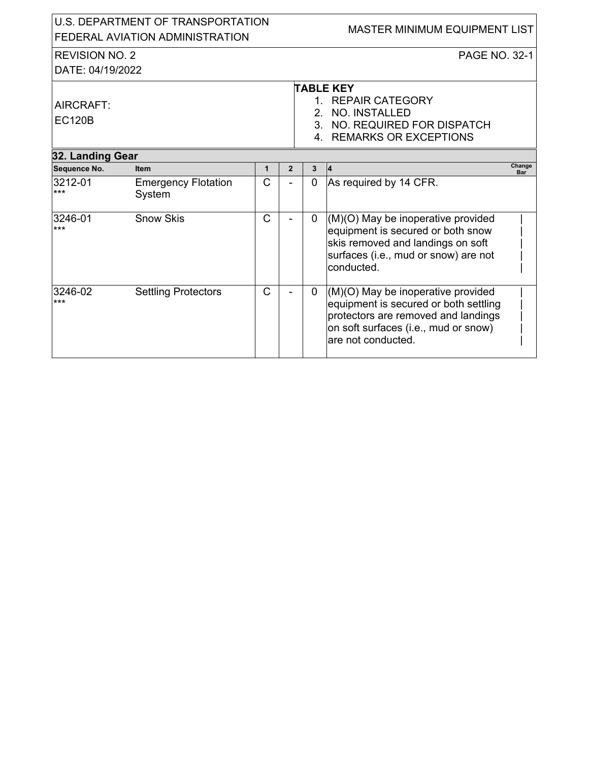| U.S. DEPARTMENT OF TRANSPORTATION<br>FEDERAL AVIATION ADMINISTRATION |                                      |              |                |                | MASTER MINIMUM EQUIPMENT LIST                                                                                                                                                    |  |  |  |
|----------------------------------------------------------------------|--------------------------------------|--------------|----------------|----------------|----------------------------------------------------------------------------------------------------------------------------------------------------------------------------------|--|--|--|
| <b>REVISION NO. 2</b>                                                |                                      |              |                |                | <b>PAGE NO. 32-1</b>                                                                                                                                                             |  |  |  |
| DATE: 04/19/2022                                                     |                                      |              |                |                |                                                                                                                                                                                  |  |  |  |
| AIRCRAFT:<br><b>EC120B</b>                                           |                                      |              |                | $\mathcal{P}$  | <b>TABLE KEY</b><br>1. REPAIR CATEGORY<br><b>NO. INSTALLED</b><br>3. NO. REQUIRED FOR DISPATCH<br>4. REMARKS OR EXCEPTIONS                                                       |  |  |  |
| 32. Landing Gear                                                     |                                      |              |                |                |                                                                                                                                                                                  |  |  |  |
| Sequence No.                                                         | <b>Item</b>                          | $\mathbf{1}$ | $\overline{2}$ | 3              | Change<br>$\vert 4 \vert$<br>Bar                                                                                                                                                 |  |  |  |
| 3212-01<br>$***$                                                     | <b>Emergency Flotation</b><br>System | C            |                | $\overline{0}$ | As required by 14 CFR.                                                                                                                                                           |  |  |  |
| 3246-01<br>$***$                                                     | <b>Snow Skis</b>                     | Ć            |                | $\mathbf{0}$   | (M)(O) May be inoperative provided<br>equipment is secured or both snow<br>skis removed and landings on soft<br>surfaces (i.e., mud or snow) are not<br>conducted.               |  |  |  |
| 3246-02<br>$***$                                                     | <b>Settling Protectors</b>           | C            |                | 0              | (M)(O) May be inoperative provided<br>equipment is secured or both settling<br>protectors are removed and landings<br>on soft surfaces (i.e., mud or snow)<br>are not conducted. |  |  |  |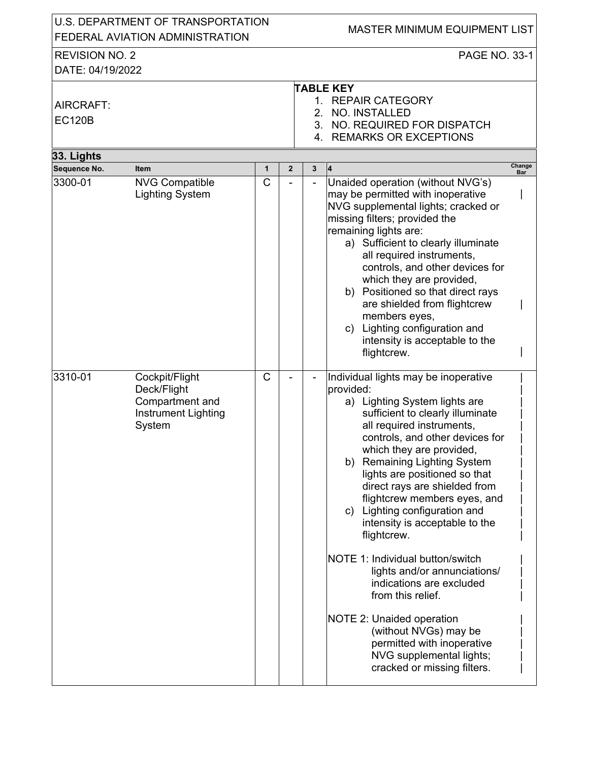| U.S. DEPARTMENT OF TRANSPORTATION<br>FEDERAL AVIATION ADMINISTRATION |                                                                                          |   |                |                | <b>MASTER MINIMUM EQUIPMENT LIST</b>                                                                                                                                                                                                                                                                                                                                                                                                                                                                                                                                                                                                                                                                                           |               |
|----------------------------------------------------------------------|------------------------------------------------------------------------------------------|---|----------------|----------------|--------------------------------------------------------------------------------------------------------------------------------------------------------------------------------------------------------------------------------------------------------------------------------------------------------------------------------------------------------------------------------------------------------------------------------------------------------------------------------------------------------------------------------------------------------------------------------------------------------------------------------------------------------------------------------------------------------------------------------|---------------|
| <b>REVISION NO. 2</b><br>DATE: 04/19/2022                            |                                                                                          |   |                |                | PAGE NO. 33-1                                                                                                                                                                                                                                                                                                                                                                                                                                                                                                                                                                                                                                                                                                                  |               |
| AIRCRAFT:<br><b>EC120B</b>                                           |                                                                                          |   |                |                | <b>TABLE KEY</b><br>1. REPAIR CATEGORY<br>2. NO. INSTALLED<br>3. NO. REQUIRED FOR DISPATCH<br>4. REMARKS OR EXCEPTIONS                                                                                                                                                                                                                                                                                                                                                                                                                                                                                                                                                                                                         |               |
| 33. Lights                                                           |                                                                                          |   |                |                |                                                                                                                                                                                                                                                                                                                                                                                                                                                                                                                                                                                                                                                                                                                                |               |
| Sequence No.                                                         | <b>Item</b>                                                                              | 1 | $\overline{2}$ | 3              | $\overline{4}$                                                                                                                                                                                                                                                                                                                                                                                                                                                                                                                                                                                                                                                                                                                 | Change<br>Bar |
| 3300-01                                                              | <b>NVG Compatible</b><br><b>Lighting System</b>                                          | C |                | $\blacksquare$ | Unaided operation (without NVG's)<br>may be permitted with inoperative<br>NVG supplemental lights; cracked or<br>missing filters; provided the<br>remaining lights are:<br>a) Sufficient to clearly illuminate<br>all required instruments,<br>controls, and other devices for<br>which they are provided,<br>b) Positioned so that direct rays<br>are shielded from flightcrew<br>members eyes,<br>Lighting configuration and<br>C)<br>intensity is acceptable to the<br>flightcrew.                                                                                                                                                                                                                                          |               |
| 3310-01                                                              | Cockpit/Flight<br>Deck/Flight<br>Compartment and<br><b>Instrument Lighting</b><br>System | C |                |                | Individual lights may be inoperative<br>provided:<br>a) Lighting System lights are<br>sufficient to clearly illuminate<br>all required instruments,<br>controls, and other devices for<br>which they are provided,<br><b>Remaining Lighting System</b><br>b)<br>lights are positioned so that<br>direct rays are shielded from<br>flightcrew members eyes, and<br>Lighting configuration and<br>C)<br>intensity is acceptable to the<br>flightcrew.<br>NOTE 1: Individual button/switch<br>lights and/or annunciations/<br>indications are excluded<br>from this relief.<br><b>NOTE 2: Unaided operation</b><br>(without NVGs) may be<br>permitted with inoperative<br>NVG supplemental lights;<br>cracked or missing filters. |               |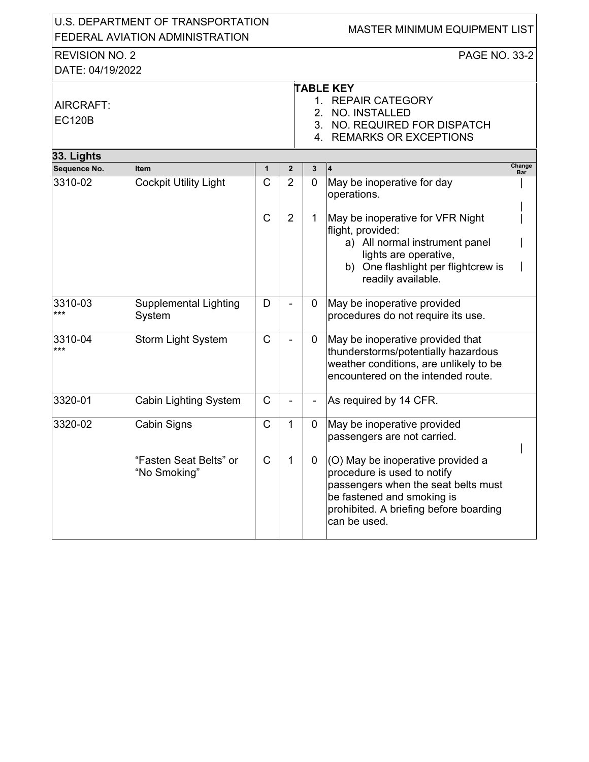|                                           | U.S. DEPARTMENT OF TRANSPORTATION<br>FEDERAL AVIATION ADMINISTRATION |              |                |                | MASTER MINIMUM EQUIPMENT LIST                                                                                                                                                                   |               |
|-------------------------------------------|----------------------------------------------------------------------|--------------|----------------|----------------|-------------------------------------------------------------------------------------------------------------------------------------------------------------------------------------------------|---------------|
| <b>REVISION NO. 2</b><br>DATE: 04/19/2022 |                                                                      |              |                |                | <b>PAGE NO. 33-2</b>                                                                                                                                                                            |               |
| AIRCRAFT:<br><b>EC120B</b>                |                                                                      |              |                | 2.             | <b>TABLE KEY</b><br>1. REPAIR CATEGORY<br>NO. INSTALLED<br>3. NO. REQUIRED FOR DISPATCH<br>4. REMARKS OR EXCEPTIONS                                                                             |               |
| 33. Lights                                |                                                                      |              |                |                |                                                                                                                                                                                                 |               |
| Sequence No.                              | <b>Item</b>                                                          | $\mathbf{1}$ | $\overline{2}$ | 3              | 14                                                                                                                                                                                              | Change<br>Bar |
| 3310-02                                   | <b>Cockpit Utility Light</b>                                         | $\mathsf C$  | $\overline{2}$ | $\overline{0}$ | May be inoperative for day<br>operations.                                                                                                                                                       |               |
|                                           |                                                                      | C            | 2              | 1              | May be inoperative for VFR Night<br>flight, provided:<br>a) All normal instrument panel<br>lights are operative,<br>b) One flashlight per flightcrew is<br>readily available.                   |               |
| 3310-03<br>***                            | <b>Supplemental Lighting</b><br>System                               | D            |                | 0              | May be inoperative provided<br>procedures do not require its use.                                                                                                                               |               |
| 3310-04<br>***                            | <b>Storm Light System</b>                                            | $\mathsf{C}$ |                | 0              | May be inoperative provided that<br>thunderstorms/potentially hazardous<br>weather conditions, are unlikely to be<br>encountered on the intended route.                                         |               |
| 3320-01                                   | <b>Cabin Lighting System</b>                                         | C            |                |                | As required by 14 CFR.                                                                                                                                                                          |               |
| 3320-02                                   | Cabin Signs                                                          | C            | 1              | 0              | May be inoperative provided<br>passengers are not carried.                                                                                                                                      |               |
|                                           | "Fasten Seat Belts" or<br>"No Smoking"                               | $\mathsf{C}$ | 1              | $\mathbf 0$    | (O) May be inoperative provided a<br>procedure is used to notify<br>passengers when the seat belts must<br>be fastened and smoking is<br>prohibited. A briefing before boarding<br>can be used. |               |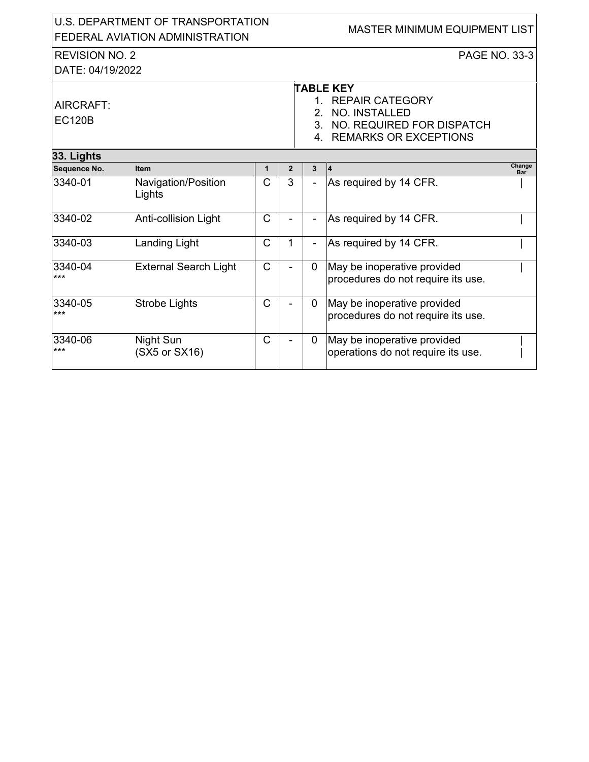| U.S. DEPARTMENT OF TRANSPORTATION<br><b>FEDERAL AVIATION ADMINISTRATION</b> |                                              |                              |                     |                     | <b>MASTER MINIMUM EQUIPMENT LIST</b>                                                                                    |
|-----------------------------------------------------------------------------|----------------------------------------------|------------------------------|---------------------|---------------------|-------------------------------------------------------------------------------------------------------------------------|
| <b>REVISION NO. 2</b><br>DATE: 04/19/2022                                   |                                              |                              |                     |                     | <b>PAGE NO. 33-3</b>                                                                                                    |
| AIRCRAFT:<br><b>EC120B</b>                                                  |                                              |                              |                     | $\mathcal{P}$<br>4. | <b>TABLE KEY</b><br>1. REPAIR CATEGORY<br>NO. INSTALLED<br>3. NO. REQUIRED FOR DISPATCH<br><b>REMARKS OR EXCEPTIONS</b> |
| 33. Lights                                                                  |                                              |                              |                     |                     | Change                                                                                                                  |
| Sequence No.<br>3340-01                                                     | <b>Item</b><br>Navigation/Position<br>Lights | $\mathbf{1}$<br>$\mathsf{C}$ | $\overline{2}$<br>3 | 3                   | 4<br>Bar<br>As required by 14 CFR.                                                                                      |
| 3340-02                                                                     | Anti-collision Light                         | C                            |                     | $\blacksquare$      | As required by 14 CFR.                                                                                                  |
| 3340-03                                                                     | Landing Light                                | C                            | 1                   | $\blacksquare$      | As required by 14 CFR.                                                                                                  |
| 3340-04<br>$***$                                                            | <b>External Search Light</b>                 | C                            |                     | 0                   | May be inoperative provided<br>procedures do not require its use.                                                       |
| 3340-05<br>$***$                                                            | Strobe Lights                                | $\mathsf{C}$                 |                     | $\mathbf 0$         | May be inoperative provided<br>procedures do not require its use.                                                       |
| 3340-06<br>$***$                                                            | Night Sun<br>(SX5 or SX16)                   | C                            |                     | $\Omega$            | May be inoperative provided<br>operations do not require its use.                                                       |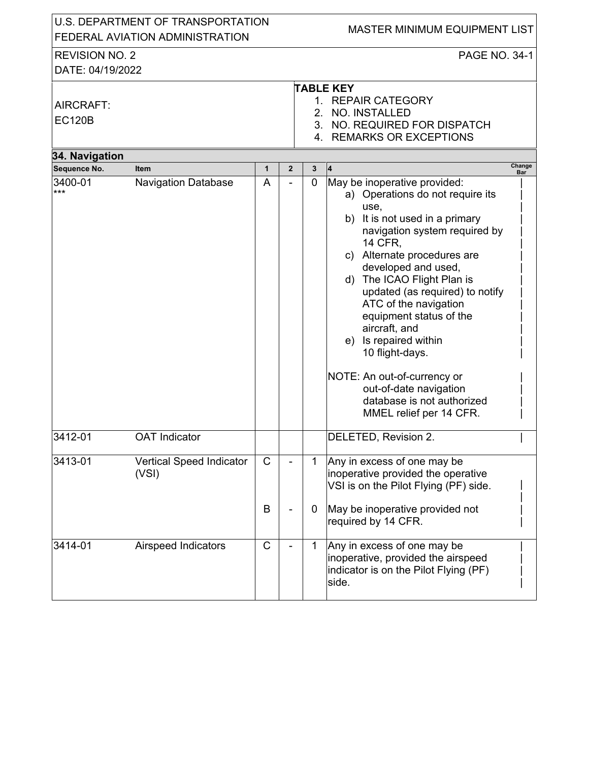|                                           | U.S. DEPARTMENT OF TRANSPORTATION<br>FEDERAL AVIATION ADMINISTRATION |                   |                |                  | <b>MASTER MINIMUM EQUIPMENT LIST</b>                                                                                                                                                                                                                                                                                                                                                                                                                                                                                    |                      |
|-------------------------------------------|----------------------------------------------------------------------|-------------------|----------------|------------------|-------------------------------------------------------------------------------------------------------------------------------------------------------------------------------------------------------------------------------------------------------------------------------------------------------------------------------------------------------------------------------------------------------------------------------------------------------------------------------------------------------------------------|----------------------|
| <b>REVISION NO. 2</b><br>DATE: 04/19/2022 |                                                                      |                   |                |                  | PAGE NO. 34-1                                                                                                                                                                                                                                                                                                                                                                                                                                                                                                           |                      |
| AIRCRAFT:<br><b>EC120B</b>                |                                                                      |                   |                |                  | <b>TABLE KEY</b><br>1. REPAIR CATEGORY<br>2. NO. INSTALLED<br>3. NO. REQUIRED FOR DISPATCH<br>4. REMARKS OR EXCEPTIONS                                                                                                                                                                                                                                                                                                                                                                                                  |                      |
| 34. Navigation                            |                                                                      |                   |                |                  |                                                                                                                                                                                                                                                                                                                                                                                                                                                                                                                         |                      |
| Sequence No.                              | <b>Item</b>                                                          | $\mathbf{1}$      | $\overline{2}$ | $\mathbf{3}$     | 4                                                                                                                                                                                                                                                                                                                                                                                                                                                                                                                       | Change<br><b>Bar</b> |
| 3400-01<br>***                            | <b>Navigation Database</b>                                           | A                 |                | $\overline{0}$   | May be inoperative provided:<br>a) Operations do not require its<br>use,<br>b) It is not used in a primary<br>navigation system required by<br><b>14 CFR.</b><br>c) Alternate procedures are<br>developed and used,<br>d) The ICAO Flight Plan is<br>updated (as required) to notify<br>ATC of the navigation<br>equipment status of the<br>aircraft, and<br>e) Is repaired within<br>10 flight-days.<br>NOTE: An out-of-currency or<br>out-of-date navigation<br>database is not authorized<br>MMEL relief per 14 CFR. |                      |
| 3412-01                                   | <b>OAT</b> Indicator                                                 |                   |                |                  | DELETED, Revision 2.                                                                                                                                                                                                                                                                                                                                                                                                                                                                                                    |                      |
| 3413-01                                   | Vertical Speed Indicator<br>(VSI)                                    | $\mathsf{C}$<br>B |                | 1<br>$\mathbf 0$ | Any in excess of one may be<br>inoperative provided the operative<br>VSI is on the Pilot Flying (PF) side.<br>May be inoperative provided not<br>required by 14 CFR.                                                                                                                                                                                                                                                                                                                                                    |                      |
| 3414-01                                   | Airspeed Indicators                                                  | C                 |                | 1                | Any in excess of one may be<br>inoperative, provided the airspeed<br>indicator is on the Pilot Flying (PF)<br>side.                                                                                                                                                                                                                                                                                                                                                                                                     |                      |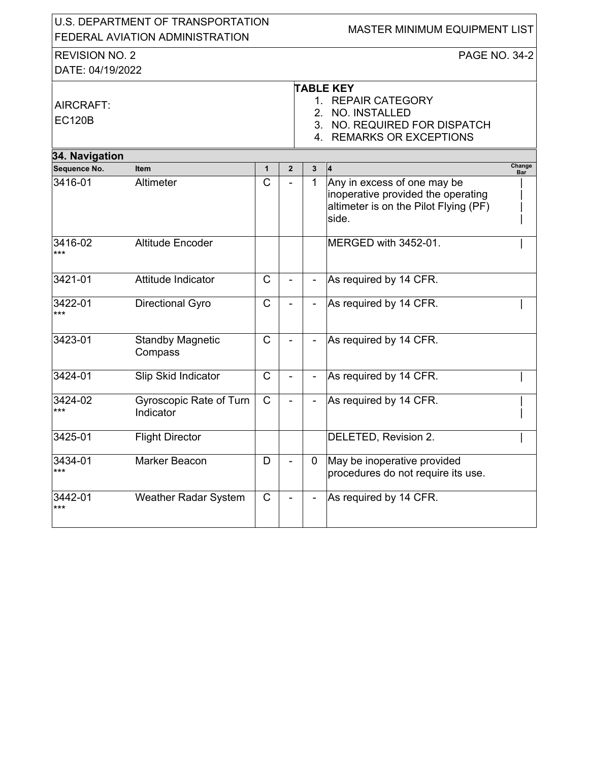|                                           | U.S. DEPARTMENT OF TRANSPORTATION<br>FEDERAL AVIATION ADMINISTRATION |              |                |               | MASTER MINIMUM EQUIPMENT LIST                                                                                           |               |
|-------------------------------------------|----------------------------------------------------------------------|--------------|----------------|---------------|-------------------------------------------------------------------------------------------------------------------------|---------------|
| <b>REVISION NO. 2</b><br>DATE: 04/19/2022 |                                                                      |              |                |               | <b>PAGE NO. 34-2</b>                                                                                                    |               |
| AIRCRAFT:<br><b>EC120B</b>                |                                                                      |              |                | $1_{-}$<br>2. | <b>TABLE KEY</b><br><b>REPAIR CATEGORY</b><br>NO. INSTALLED<br>3. NO. REQUIRED FOR DISPATCH<br>4. REMARKS OR EXCEPTIONS |               |
| 34. Navigation                            |                                                                      |              |                |               |                                                                                                                         |               |
| Sequence No.                              | <b>Item</b>                                                          | $\mathbf{1}$ | $\overline{2}$ | 3             |                                                                                                                         | Change<br>Bar |
| 3416-01                                   | Altimeter                                                            | $\mathsf{C}$ |                | 1             | Any in excess of one may be<br>inoperative provided the operating<br>altimeter is on the Pilot Flying (PF)<br>side.     |               |
| 3416-02<br>***                            | Altitude Encoder                                                     |              |                |               | MERGED with 3452-01.                                                                                                    |               |
| 3421-01                                   | Attitude Indicator                                                   | $\mathsf{C}$ |                |               | As required by 14 CFR.                                                                                                  |               |
| 3422-01<br>***                            | <b>Directional Gyro</b>                                              | $\mathsf{C}$ |                |               | As required by 14 CFR.                                                                                                  |               |
| 3423-01                                   | <b>Standby Magnetic</b><br>Compass                                   | $\mathsf{C}$ |                |               | As required by 14 CFR.                                                                                                  |               |
| 3424-01                                   | Slip Skid Indicator                                                  | $\mathsf{C}$ |                |               | As required by 14 CFR.                                                                                                  |               |
| 3424-02<br>***                            | Gyroscopic Rate of Turn<br>Indicator                                 | $\mathsf{C}$ |                |               | As required by 14 CFR.                                                                                                  |               |
| 3425-01                                   | <b>Flight Director</b>                                               |              |                |               | DELETED, Revision 2.                                                                                                    |               |
| 3434-01<br>***                            | Marker Beacon                                                        | D            |                | 0             | May be inoperative provided<br>procedures do not require its use.                                                       |               |
| 3442-01<br>***                            | <b>Weather Radar System</b>                                          | $\mathsf{C}$ |                |               | As required by 14 CFR.                                                                                                  |               |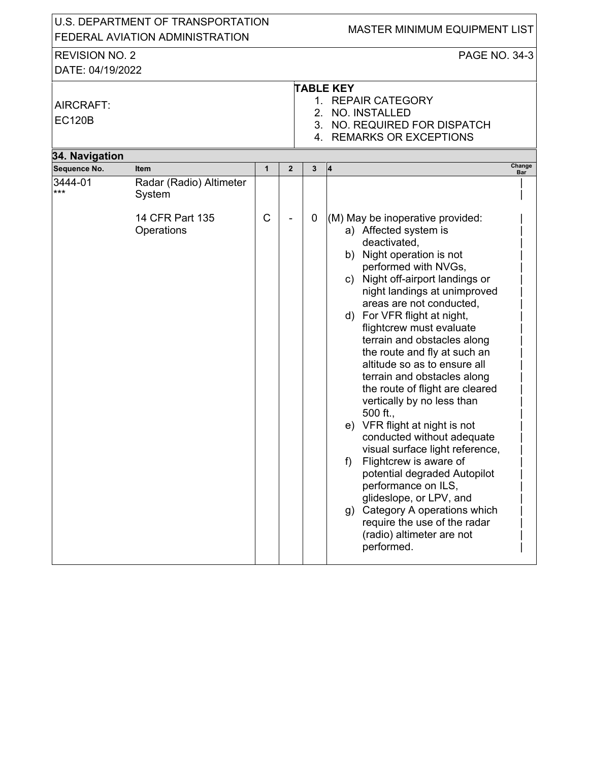|                                              | U.S. DEPARTMENT OF TRANSPORTATION<br>FEDERAL AVIATION ADMINISTRATION |              |                |             | <b>MASTER MINIMUM EQUIPMENT LIST</b>                                                                                                                                                                                                                                                                                                                                                                                                                                                                                                                                                                                                                                                                                                                                                                                                    |
|----------------------------------------------|----------------------------------------------------------------------|--------------|----------------|-------------|-----------------------------------------------------------------------------------------------------------------------------------------------------------------------------------------------------------------------------------------------------------------------------------------------------------------------------------------------------------------------------------------------------------------------------------------------------------------------------------------------------------------------------------------------------------------------------------------------------------------------------------------------------------------------------------------------------------------------------------------------------------------------------------------------------------------------------------------|
| <b>REVISION NO. 2</b>                        |                                                                      |              |                |             | PAGE NO. 34-3                                                                                                                                                                                                                                                                                                                                                                                                                                                                                                                                                                                                                                                                                                                                                                                                                           |
| DATE: 04/19/2022                             |                                                                      |              |                |             |                                                                                                                                                                                                                                                                                                                                                                                                                                                                                                                                                                                                                                                                                                                                                                                                                                         |
| AIRCRAFT:<br><b>EC120B</b><br>34. Navigation |                                                                      |              |                | 2.          | <b>TABLE KEY</b><br>1. REPAIR CATEGORY<br>NO. INSTALLED<br>3. NO. REQUIRED FOR DISPATCH<br>4. REMARKS OR EXCEPTIONS                                                                                                                                                                                                                                                                                                                                                                                                                                                                                                                                                                                                                                                                                                                     |
| Sequence No.                                 | <b>Item</b>                                                          | $\mathbf{1}$ | $\overline{2}$ | 3           | Change<br>4<br>Bar                                                                                                                                                                                                                                                                                                                                                                                                                                                                                                                                                                                                                                                                                                                                                                                                                      |
| 3444-01<br>***                               | Radar (Radio) Altimeter<br>System<br>14 CFR Part 135<br>Operations   | C            |                | $\mathbf 0$ | (M) May be inoperative provided:<br>a) Affected system is<br>deactivated,<br>b) Night operation is not<br>performed with NVGs,<br>c) Night off-airport landings or<br>night landings at unimproved<br>areas are not conducted,<br>d) For VFR flight at night,<br>flightcrew must evaluate<br>terrain and obstacles along<br>the route and fly at such an<br>altitude so as to ensure all<br>terrain and obstacles along<br>the route of flight are cleared<br>vertically by no less than<br>500 ft.,<br>e) VFR flight at night is not<br>conducted without adequate<br>visual surface light reference,<br>Flightcrew is aware of<br>f<br>potential degraded Autopilot<br>performance on ILS,<br>glideslope, or LPV, and<br>Category A operations which<br>g)<br>require the use of the radar<br>(radio) altimeter are not<br>performed. |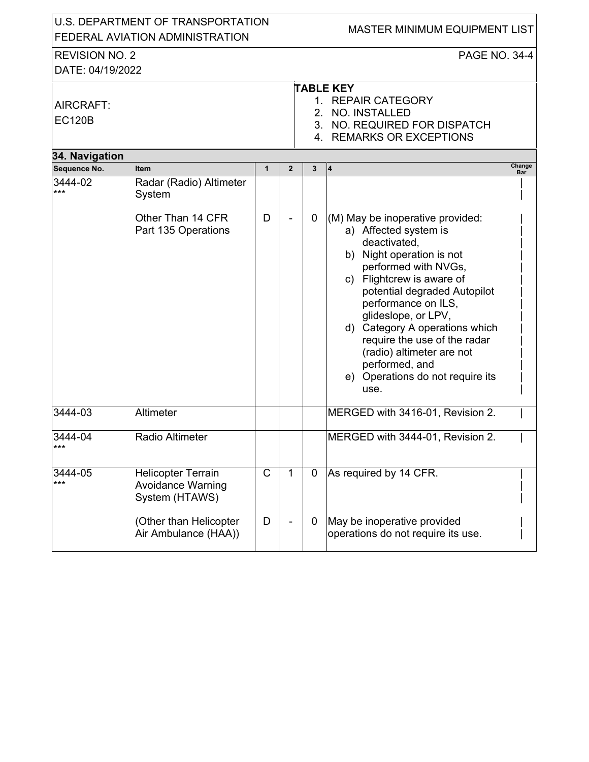| U.S. DEPARTMENT OF TRANSPORTATION |                                                                         |              |                |              | <b>MASTER MINIMUM EQUIPMENT LIST</b>                                                                                                                                                                                                                                                                                                                               |
|-----------------------------------|-------------------------------------------------------------------------|--------------|----------------|--------------|--------------------------------------------------------------------------------------------------------------------------------------------------------------------------------------------------------------------------------------------------------------------------------------------------------------------------------------------------------------------|
|                                   | FEDERAL AVIATION ADMINISTRATION                                         |              |                |              |                                                                                                                                                                                                                                                                                                                                                                    |
| <b>REVISION NO. 2</b>             |                                                                         |              |                |              | <b>PAGE NO. 34-4</b>                                                                                                                                                                                                                                                                                                                                               |
| DATE: 04/19/2022                  |                                                                         |              |                |              |                                                                                                                                                                                                                                                                                                                                                                    |
| AIRCRAFT:<br><b>EC120B</b>        |                                                                         |              |                |              | <b>TABLE KEY</b><br>1. REPAIR CATEGORY<br>2. NO. INSTALLED<br>3. NO. REQUIRED FOR DISPATCH<br>4. REMARKS OR EXCEPTIONS                                                                                                                                                                                                                                             |
| 34. Navigation<br>Sequence No.    | <b>Item</b>                                                             | $\mathbf{1}$ | $\overline{2}$ | $\mathbf{3}$ | Change<br>$\vert$ 4                                                                                                                                                                                                                                                                                                                                                |
| 3444-02<br>***                    | Radar (Radio) Altimeter<br>System<br>Other Than 14 CFR                  | D            |                | $\mathbf 0$  | Bar<br>(M) May be inoperative provided:                                                                                                                                                                                                                                                                                                                            |
|                                   | Part 135 Operations                                                     |              |                |              | a) Affected system is<br>deactivated,<br>b) Night operation is not<br>performed with NVGs,<br>c) Flightcrew is aware of<br>potential degraded Autopilot<br>performance on ILS,<br>glideslope, or LPV,<br>d) Category A operations which<br>require the use of the radar<br>(radio) altimeter are not<br>performed, and<br>e) Operations do not require its<br>use. |
| 3444-03                           | Altimeter                                                               |              |                |              | MERGED with 3416-01, Revision 2.                                                                                                                                                                                                                                                                                                                                   |
| 3444-04<br>$***$                  | Radio Altimeter                                                         |              |                |              | MERGED with 3444-01, Revision 2.                                                                                                                                                                                                                                                                                                                                   |
| 3444-05<br>***                    | <b>Helicopter Terrain</b><br><b>Avoidance Warning</b><br>System (HTAWS) | C            | 1              | $\mathbf 0$  | As required by 14 CFR.                                                                                                                                                                                                                                                                                                                                             |
|                                   | (Other than Helicopter<br>Air Ambulance (HAA))                          | D            |                | $\mathbf 0$  | May be inoperative provided<br>operations do not require its use.                                                                                                                                                                                                                                                                                                  |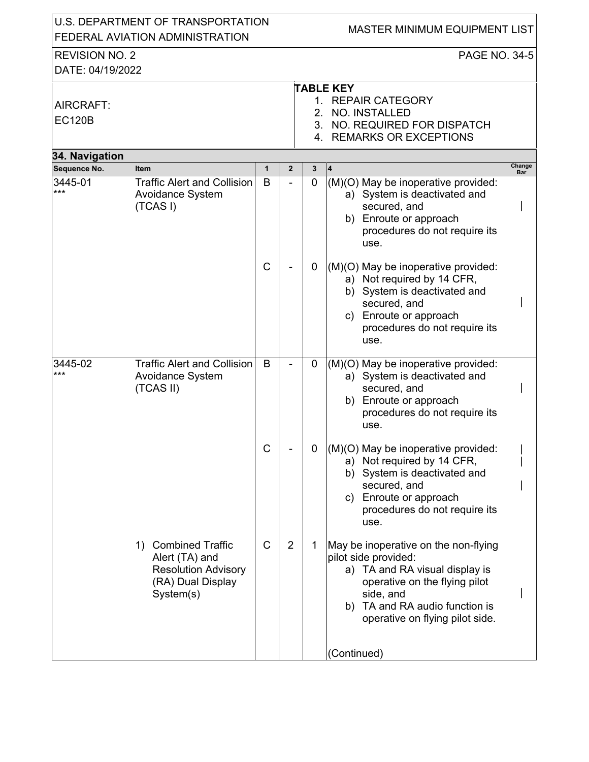| U.S. DEPARTMENT OF TRANSPORTATION<br>FEDERAL AVIATION ADMINISTRATION |                                                                                                       |              |                |                | <b>MASTER MINIMUM EQUIPMENT LIST</b>                                                                                                                                                                                 |               |
|----------------------------------------------------------------------|-------------------------------------------------------------------------------------------------------|--------------|----------------|----------------|----------------------------------------------------------------------------------------------------------------------------------------------------------------------------------------------------------------------|---------------|
| <b>REVISION NO. 2</b><br>DATE: 04/19/2022                            |                                                                                                       |              |                |                | <b>PAGE NO. 34-5</b>                                                                                                                                                                                                 |               |
| AIRCRAFT:<br><b>EC120B</b>                                           |                                                                                                       |              |                |                | <b>TABLE KEY</b><br>1. REPAIR CATEGORY<br>2. NO. INSTALLED<br>3. NO. REQUIRED FOR DISPATCH<br>4. REMARKS OR EXCEPTIONS                                                                                               |               |
| 34. Navigation                                                       |                                                                                                       |              |                |                |                                                                                                                                                                                                                      |               |
| Sequence No.                                                         | <b>Item</b>                                                                                           | 1            | $\mathbf{2}$   | 3              | 4                                                                                                                                                                                                                    | Change<br>Bar |
| 3445-01<br>***                                                       | <b>Traffic Alert and Collision</b><br>Avoidance System<br>(TCAS I)                                    | B            |                | $\overline{0}$ | (M)(O) May be inoperative provided:<br>a) System is deactivated and<br>secured, and<br>b) Enroute or approach<br>procedures do not require its<br>use.                                                               |               |
|                                                                      |                                                                                                       | $\mathsf{C}$ |                | $\mathbf 0$    | (M)(O) May be inoperative provided:<br>a) Not required by 14 CFR,<br>b) System is deactivated and<br>secured, and<br>c) Enroute or approach<br>procedures do not require its<br>use.                                 |               |
| 3445-02<br>***                                                       | <b>Traffic Alert and Collision</b><br><b>Avoidance System</b><br>(TCAS II)                            | B            |                | 0              | (M)(O) May be inoperative provided:<br>a) System is deactivated and<br>secured, and<br>b) Enroute or approach<br>procedures do not require its<br>use.                                                               |               |
|                                                                      |                                                                                                       | С            |                | 0              | (M)(O) May be inoperative provided:<br>a) Not required by 14 CFR,<br>b) System is deactivated and<br>secured, and<br>c) Enroute or approach<br>procedures do not require its<br>use.                                 |               |
|                                                                      | 1) Combined Traffic<br>Alert (TA) and<br><b>Resolution Advisory</b><br>(RA) Dual Display<br>System(s) | $\mathsf{C}$ | $\overline{2}$ | 1              | May be inoperative on the non-flying<br>pilot side provided:<br>a) TA and RA visual display is<br>operative on the flying pilot<br>side, and<br>TA and RA audio function is<br>b)<br>operative on flying pilot side. |               |
|                                                                      |                                                                                                       |              |                |                | (Continued)                                                                                                                                                                                                          |               |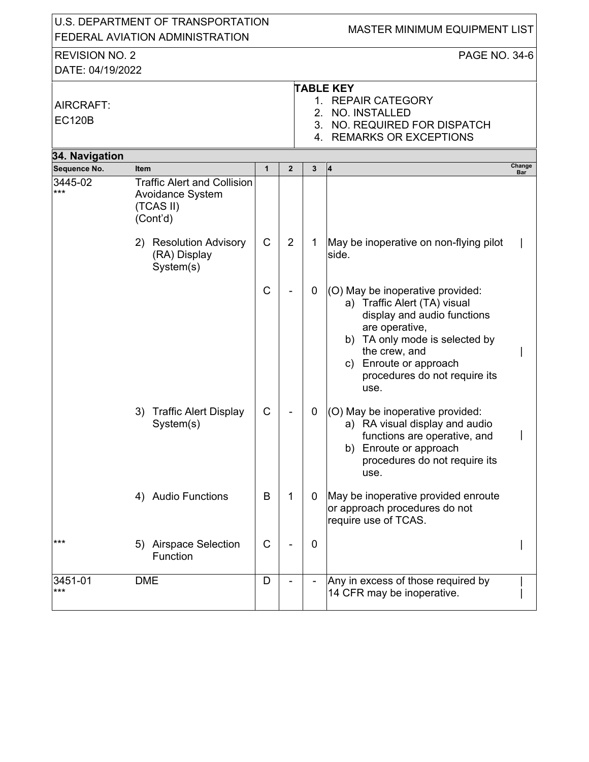|                                           | U.S. DEPARTMENT OF TRANSPORTATION<br>FEDERAL AVIATION ADMINISTRATION                   |              |                |                              | MASTER MINIMUM EQUIPMENT LIST                                                                                                                                                                                                              |               |
|-------------------------------------------|----------------------------------------------------------------------------------------|--------------|----------------|------------------------------|--------------------------------------------------------------------------------------------------------------------------------------------------------------------------------------------------------------------------------------------|---------------|
|                                           |                                                                                        |              |                |                              |                                                                                                                                                                                                                                            |               |
| <b>REVISION NO. 2</b><br>DATE: 04/19/2022 |                                                                                        |              |                |                              | PAGE NO. 34-6                                                                                                                                                                                                                              |               |
| AIRCRAFT:<br><b>EC120B</b>                |                                                                                        |              |                | $1_{-}$<br>2.                | <b>TABLE KEY</b><br><b>REPAIR CATEGORY</b><br>NO. INSTALLED<br>3. NO. REQUIRED FOR DISPATCH<br>4. REMARKS OR EXCEPTIONS                                                                                                                    |               |
| 34. Navigation                            |                                                                                        |              |                |                              |                                                                                                                                                                                                                                            |               |
| Sequence No.                              | <b>Item</b>                                                                            | $\mathbf{1}$ | $\overline{2}$ | $\mathbf{3}$                 | 14                                                                                                                                                                                                                                         | Change<br>Bar |
| 3445-02<br>***                            | <b>Traffic Alert and Collision</b><br><b>Avoidance System</b><br>(TCAS II)<br>(Cont'd) |              |                |                              |                                                                                                                                                                                                                                            |               |
|                                           | 2) Resolution Advisory<br>(RA) Display<br>System(s)                                    | C            | $\overline{2}$ | 1                            | May be inoperative on non-flying pilot<br>side.                                                                                                                                                                                            |               |
|                                           |                                                                                        | $\mathsf C$  |                | $\mathbf 0$                  | (O) May be inoperative provided:<br>a) Traffic Alert (TA) visual<br>display and audio functions<br>are operative,<br>b) TA only mode is selected by<br>the crew, and<br>Enroute or approach<br>C)<br>procedures do not require its<br>use. |               |
|                                           | 3) Traffic Alert Display<br>System(s)                                                  | C            |                | 0                            | (O) May be inoperative provided:<br>a) RA visual display and audio<br>functions are operative, and<br>Enroute or approach<br>b)<br>procedures do not require its<br>use.                                                                   |               |
|                                           | 4) Audio Functions                                                                     | B            | 1              | 0                            | May be inoperative provided enroute<br>or approach procedures do not<br>require use of TCAS.                                                                                                                                               |               |
| ***                                       | 5) Airspace Selection<br>Function                                                      | C            |                | $\boldsymbol{0}$             |                                                                                                                                                                                                                                            |               |
| 3451-01<br>$***$                          | <b>DME</b>                                                                             | D            |                | $\qquad \qquad \blacksquare$ | Any in excess of those required by<br>14 CFR may be inoperative.                                                                                                                                                                           |               |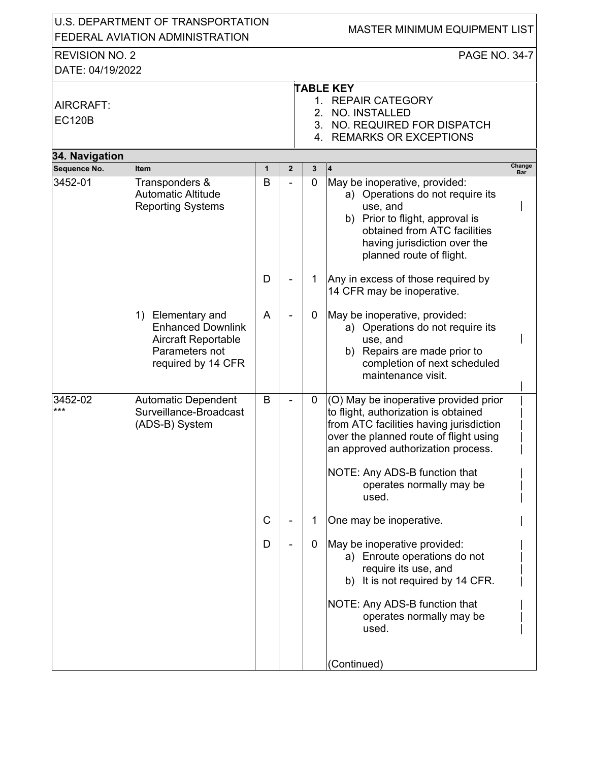|                                           | U.S. DEPARTMENT OF TRANSPORTATION<br>FEDERAL AVIATION ADMINISTRATION                                                |              |   |   | MASTER MINIMUM EQUIPMENT LIST                                                                                                                                                                                                                                                  |               |  |  |  |  |
|-------------------------------------------|---------------------------------------------------------------------------------------------------------------------|--------------|---|---|--------------------------------------------------------------------------------------------------------------------------------------------------------------------------------------------------------------------------------------------------------------------------------|---------------|--|--|--|--|
| <b>REVISION NO. 2</b><br>DATE: 04/19/2022 |                                                                                                                     |              |   |   | <b>PAGE NO. 34-7</b>                                                                                                                                                                                                                                                           |               |  |  |  |  |
| AIRCRAFT:<br><b>EC120B</b>                |                                                                                                                     |              |   |   | <b>TABLE KEY</b><br>1. REPAIR CATEGORY<br>2. NO. INSTALLED<br>3. NO. REQUIRED FOR DISPATCH<br>4. REMARKS OR EXCEPTIONS                                                                                                                                                         |               |  |  |  |  |
| 34. Navigation                            |                                                                                                                     |              |   |   |                                                                                                                                                                                                                                                                                |               |  |  |  |  |
| Sequence No.                              | <b>Item</b>                                                                                                         | $\mathbf{1}$ | 2 | 3 | 4                                                                                                                                                                                                                                                                              | Change<br>Bar |  |  |  |  |
| 3452-01                                   | Transponders &<br>Automatic Altitude<br><b>Reporting Systems</b>                                                    | B            |   | 0 | May be inoperative, provided:<br>a) Operations do not require its<br>use, and<br>b) Prior to flight, approval is<br>obtained from ATC facilities<br>having jurisdiction over the<br>planned route of flight.                                                                   |               |  |  |  |  |
|                                           |                                                                                                                     | D            |   | 1 | Any in excess of those required by<br>14 CFR may be inoperative.                                                                                                                                                                                                               |               |  |  |  |  |
|                                           | 1) Elementary and<br><b>Enhanced Downlink</b><br><b>Aircraft Reportable</b><br>Parameters not<br>required by 14 CFR | A            |   | 0 | May be inoperative, provided:<br>a) Operations do not require its<br>use, and<br>Repairs are made prior to<br>b)<br>completion of next scheduled<br>maintenance visit.                                                                                                         |               |  |  |  |  |
| 3452-02<br>***                            | <b>Automatic Dependent</b><br>Surveillance-Broadcast<br>(ADS-B) System                                              | B            |   | 0 | (O) May be inoperative provided prior<br>to flight, authorization is obtained<br>from ATC facilities having jurisdiction<br>over the planned route of flight using<br>an approved authorization process.<br>NOTE: Any ADS-B function that<br>operates normally may be<br>used. |               |  |  |  |  |
|                                           |                                                                                                                     | C            |   | 1 | One may be inoperative.                                                                                                                                                                                                                                                        |               |  |  |  |  |
|                                           |                                                                                                                     | D            |   | 0 | May be inoperative provided:<br>a) Enroute operations do not<br>require its use, and<br>b) It is not required by 14 CFR.<br>NOTE: Any ADS-B function that<br>operates normally may be<br>used.                                                                                 |               |  |  |  |  |
|                                           |                                                                                                                     |              |   |   | (Continued)                                                                                                                                                                                                                                                                    |               |  |  |  |  |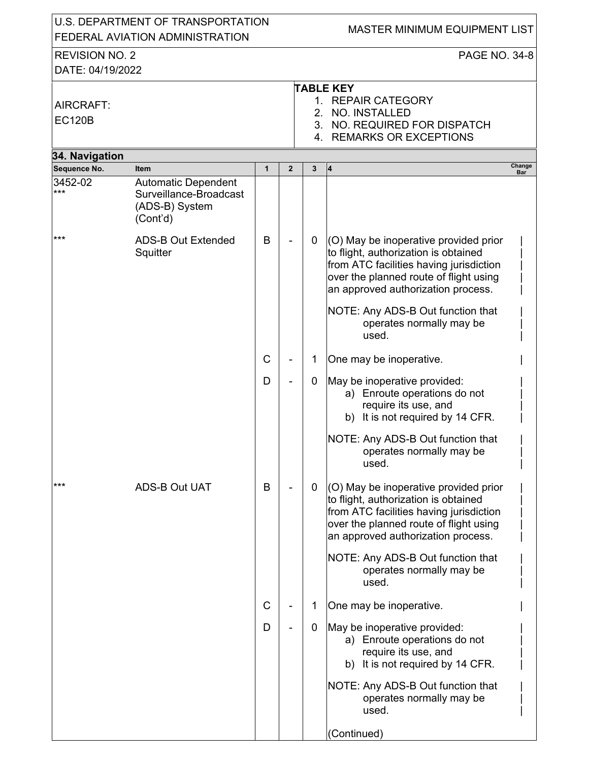| U.S. DEPARTMENT OF TRANSPORTATION<br>FEDERAL AVIATION ADMINISTRATION |                                                                                    |              |                | MASTER MINIMUM EQUIPMENT LIST |                                                                                                                                                                                                          |               |  |  |
|----------------------------------------------------------------------|------------------------------------------------------------------------------------|--------------|----------------|-------------------------------|----------------------------------------------------------------------------------------------------------------------------------------------------------------------------------------------------------|---------------|--|--|
| <b>REVISION NO. 2</b>                                                |                                                                                    |              | PAGE NO. 34-8  |                               |                                                                                                                                                                                                          |               |  |  |
| DATE: 04/19/2022                                                     |                                                                                    |              |                |                               |                                                                                                                                                                                                          |               |  |  |
| AIRCRAFT:<br><b>EC120B</b>                                           |                                                                                    |              |                | 2.                            | <b>TABLE KEY</b><br>1. REPAIR CATEGORY<br><b>NO. INSTALLED</b><br>3. NO. REQUIRED FOR DISPATCH<br>4. REMARKS OR EXCEPTIONS                                                                               |               |  |  |
| 34. Navigation                                                       |                                                                                    |              |                |                               |                                                                                                                                                                                                          |               |  |  |
| Sequence No.                                                         | <b>Item</b>                                                                        | $\mathbf{1}$ | $\overline{2}$ | 3                             | 4                                                                                                                                                                                                        | Change<br>Bar |  |  |
| 3452-02<br>$***$                                                     | <b>Automatic Dependent</b><br>Surveillance-Broadcast<br>(ADS-B) System<br>(Cont'd) |              |                |                               |                                                                                                                                                                                                          |               |  |  |
| $***$                                                                | <b>ADS-B Out Extended</b><br>Squitter                                              | B            |                | 0                             | (O) May be inoperative provided prior<br>to flight, authorization is obtained<br>from ATC facilities having jurisdiction<br>over the planned route of flight using<br>an approved authorization process. |               |  |  |
|                                                                      |                                                                                    |              |                |                               | NOTE: Any ADS-B Out function that<br>operates normally may be<br>used.                                                                                                                                   |               |  |  |
|                                                                      |                                                                                    | $\mathsf C$  |                | 1                             | One may be inoperative.                                                                                                                                                                                  |               |  |  |
|                                                                      |                                                                                    | D            |                | $\mathbf 0$                   | May be inoperative provided:<br>a) Enroute operations do not<br>require its use, and<br>b) It is not required by 14 CFR.                                                                                 |               |  |  |
|                                                                      |                                                                                    |              |                |                               | NOTE: Any ADS-B Out function that<br>operates normally may be<br>used.                                                                                                                                   |               |  |  |
| ***                                                                  | <b>ADS-B Out UAT</b>                                                               | B            |                | 0                             | (O) May be inoperative provided prior<br>to flight, authorization is obtained<br>from ATC facilities having jurisdiction<br>over the planned route of flight using<br>an approved authorization process. |               |  |  |
|                                                                      |                                                                                    |              |                |                               | NOTE: Any ADS-B Out function that<br>operates normally may be<br>used.                                                                                                                                   |               |  |  |
|                                                                      |                                                                                    | $\mathsf{C}$ |                | 1                             | One may be inoperative.                                                                                                                                                                                  |               |  |  |
|                                                                      |                                                                                    | D            |                | $\mathbf 0$                   | May be inoperative provided:<br>a) Enroute operations do not<br>require its use, and<br>b) It is not required by 14 CFR.                                                                                 |               |  |  |
|                                                                      |                                                                                    |              |                |                               | NOTE: Any ADS-B Out function that<br>operates normally may be<br>used.                                                                                                                                   |               |  |  |
|                                                                      |                                                                                    |              |                |                               | (Continued)                                                                                                                                                                                              |               |  |  |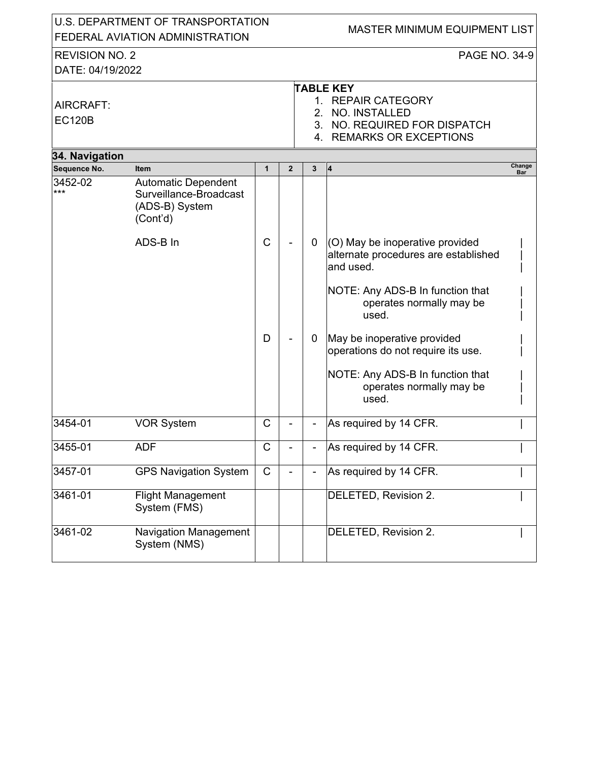|                                           | U.S. DEPARTMENT OF TRANSPORTATION<br>FEDERAL AVIATION ADMINISTRATION               |              |                |             | MASTER MINIMUM EQUIPMENT LIST                                                                                          |
|-------------------------------------------|------------------------------------------------------------------------------------|--------------|----------------|-------------|------------------------------------------------------------------------------------------------------------------------|
|                                           |                                                                                    |              |                |             | <b>PAGE NO. 34-9</b>                                                                                                   |
| <b>REVISION NO. 2</b><br>DATE: 04/19/2022 |                                                                                    |              |                |             |                                                                                                                        |
|                                           |                                                                                    |              |                |             |                                                                                                                        |
| AIRCRAFT:<br><b>EC120B</b>                |                                                                                    |              |                |             | <b>TABLE KEY</b><br>1. REPAIR CATEGORY<br>2. NO. INSTALLED<br>3. NO. REQUIRED FOR DISPATCH<br>4. REMARKS OR EXCEPTIONS |
| 34. Navigation                            |                                                                                    |              |                |             |                                                                                                                        |
| Sequence No.                              | <b>Item</b>                                                                        | $\mathbf{1}$ | $\overline{2}$ | 3           | Change<br><b>4</b><br>Bar                                                                                              |
| 3452-02<br>***                            | <b>Automatic Dependent</b><br>Surveillance-Broadcast<br>(ADS-B) System<br>(Cont'd) |              |                |             |                                                                                                                        |
|                                           | ADS-B In                                                                           | C            |                | $\mathbf 0$ | (O) May be inoperative provided<br>alternate procedures are established<br>and used.                                   |
|                                           |                                                                                    |              |                |             | NOTE: Any ADS-B In function that<br>operates normally may be<br>used.                                                  |
|                                           |                                                                                    | D            |                | 0           | May be inoperative provided<br>operations do not require its use.                                                      |
|                                           |                                                                                    |              |                |             | NOTE: Any ADS-B In function that<br>operates normally may be<br>used.                                                  |
| 3454-01                                   | <b>VOR System</b>                                                                  | С            |                |             | As required by 14 CFR.                                                                                                 |
| 3455-01                                   | <b>ADF</b>                                                                         | С            |                |             | As required by 14 CFR.                                                                                                 |
| 3457-01                                   | <b>GPS Navigation System</b>                                                       | $\mathsf{C}$ |                |             | As required by 14 CFR.                                                                                                 |
| 3461-01                                   | <b>Flight Management</b><br>System (FMS)                                           |              |                |             | DELETED, Revision 2.                                                                                                   |
| 3461-02                                   | Navigation Management<br>System (NMS)                                              |              |                |             | DELETED, Revision 2.                                                                                                   |
|                                           |                                                                                    |              |                |             |                                                                                                                        |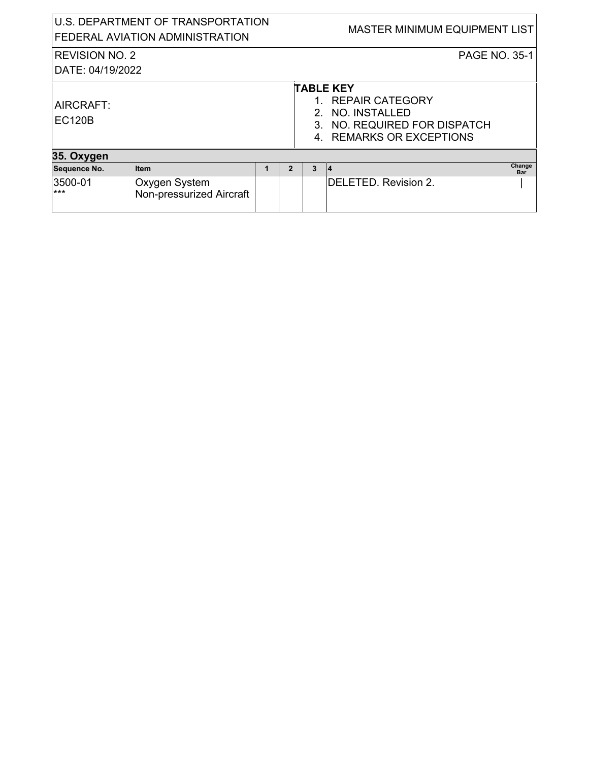|                                           | U.S. DEPARTMENT OF TRANSPORTATION<br>FEDERAL AVIATION ADMINISTRATION |   |   | MASTER MINIMUM EQUIPMENT LIST                                                                                          |
|-------------------------------------------|----------------------------------------------------------------------|---|---|------------------------------------------------------------------------------------------------------------------------|
| <b>REVISION NO. 2</b><br>DATE: 04/19/2022 |                                                                      |   |   | <b>PAGE NO. 35-1</b>                                                                                                   |
| AIRCRAFT:<br><b>EC120B</b>                |                                                                      |   |   | <b>TABLE KEY</b><br>1. REPAIR CATEGORY<br>2. NO. INSTALLED<br>3. NO. REQUIRED FOR DISPATCH<br>4. REMARKS OR EXCEPTIONS |
| 35. Oxygen                                |                                                                      |   |   |                                                                                                                        |
| Sequence No.                              | <b>Item</b>                                                          | 2 | 3 | Change<br>14<br><b>Bar</b>                                                                                             |
| 3500-01<br>$***$                          | Oxygen System<br>Non-pressurized Aircraft                            |   |   | DELETED. Revision 2.                                                                                                   |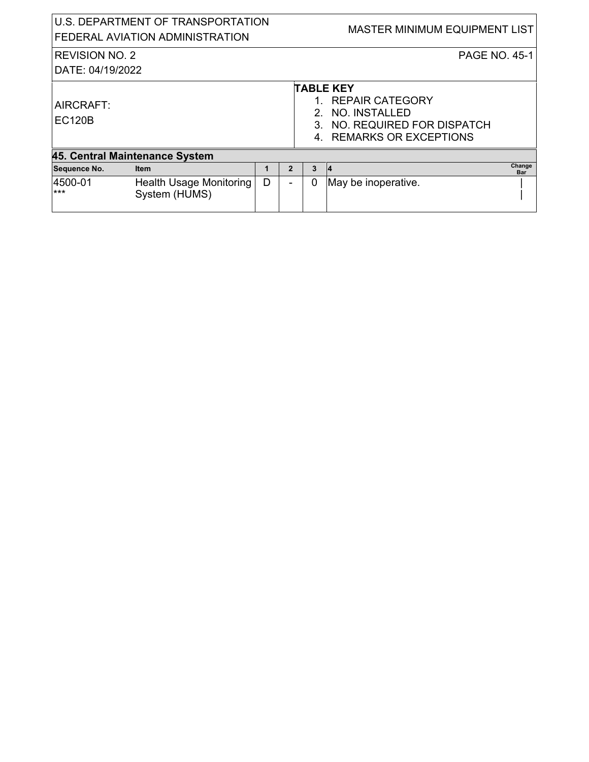|                            | U.S. DEPARTMENT OF TRANSPORTATION<br>FEDERAL AVIATION ADMINISTRATION |   |                |   | MASTER MINIMUM EQUIPMENT LIST                                                                                       |               |
|----------------------------|----------------------------------------------------------------------|---|----------------|---|---------------------------------------------------------------------------------------------------------------------|---------------|
| <b>REVISION NO. 2</b>      |                                                                      |   |                |   | <b>PAGE NO. 45-1</b>                                                                                                |               |
| DATE: 04/19/2022           |                                                                      |   |                |   |                                                                                                                     |               |
| AIRCRAFT:<br><b>EC120B</b> |                                                                      |   |                |   | <b>TABLE KEY</b><br>1. REPAIR CATEGORY<br>NO. INSTALLED<br>3. NO. REQUIRED FOR DISPATCH<br>4. REMARKS OR EXCEPTIONS |               |
|                            | 45. Central Maintenance System                                       |   |                |   |                                                                                                                     |               |
| Sequence No.               | <b>Item</b>                                                          | 1 | $\overline{2}$ | 3 | $\vert 4$                                                                                                           | Change<br>Bar |
| 4500-01<br>$***$           | Health Usage Monitoring<br>System (HUMS)                             | D |                | 0 | May be inoperative.                                                                                                 |               |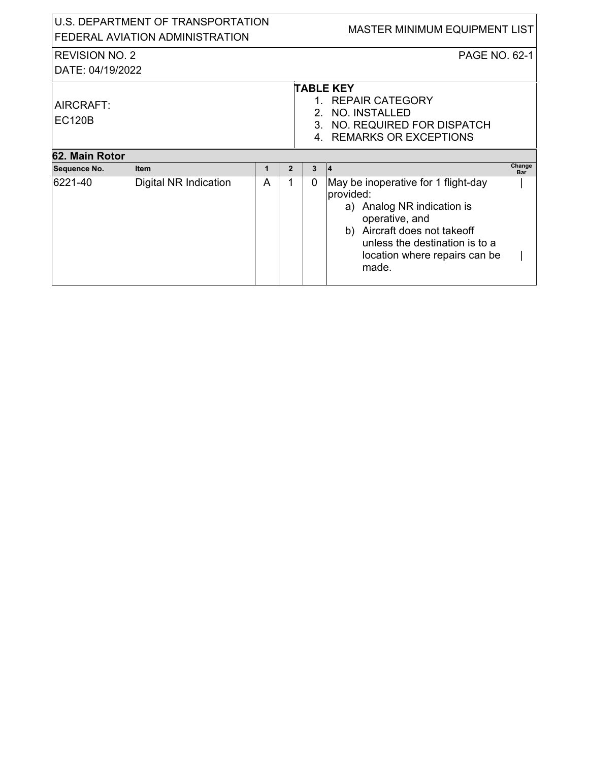| U.S. DEPARTMENT OF TRANSPORTATION<br>FEDERAL AVIATION ADMINISTRATION |                                      |        |                     |                  | <b>MASTER MINIMUM EQUIPMENT LIST</b>                                                                                                                                                                                  |            |
|----------------------------------------------------------------------|--------------------------------------|--------|---------------------|------------------|-----------------------------------------------------------------------------------------------------------------------------------------------------------------------------------------------------------------------|------------|
| <b>REVISION NO. 2</b><br>DATE: 04/19/2022                            |                                      |        |                     |                  | <b>PAGE NO. 62-1</b>                                                                                                                                                                                                  |            |
| AIRCRAFT:<br><b>EC120B</b>                                           |                                      |        |                     |                  | <b>TABLE KEY</b><br>1. REPAIR CATEGORY<br>2. NO. INSTALLED<br>3. NO. REQUIRED FOR DISPATCH<br>4. REMARKS OR EXCEPTIONS                                                                                                |            |
| 62. Main Rotor                                                       |                                      |        |                     |                  |                                                                                                                                                                                                                       | Change     |
| Sequence No.<br>16221-40                                             | <b>Item</b><br>Digital NR Indication | 1<br>A | $\overline{2}$<br>1 | 3<br>$\mathbf 0$ | 14<br>May be inoperative for 1 flight-day<br>provided:<br>a) Analog NR indication is<br>operative, and<br>Aircraft does not takeoff<br>b)<br>unless the destination is to a<br>location where repairs can be<br>made. | <b>Bar</b> |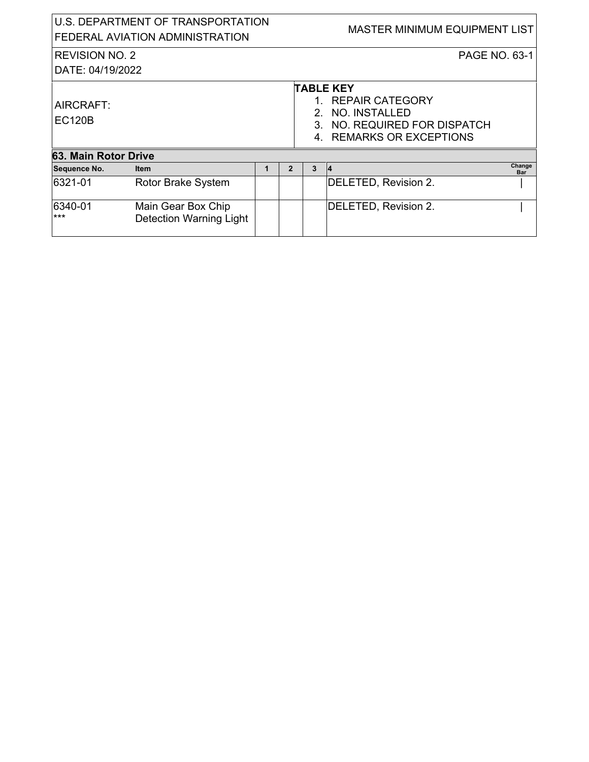| U.S. DEPARTMENT OF TRANSPORTATION<br>FEDERAL AVIATION ADMINISTRATION |                                                      |   |                | <b>MASTER MINIMUM EQUIPMENT LIST</b>                                                                                      |                      |               |  |  |
|----------------------------------------------------------------------|------------------------------------------------------|---|----------------|---------------------------------------------------------------------------------------------------------------------------|----------------------|---------------|--|--|
| <b>REVISION NO. 2</b>                                                |                                                      |   |                | <b>PAGE NO. 63-1</b>                                                                                                      |                      |               |  |  |
| DATE: 04/19/2022                                                     |                                                      |   |                |                                                                                                                           |                      |               |  |  |
| AIRCRAFT:<br><b>EC120B</b>                                           |                                                      |   |                | <b>TABLE KEY</b><br>1. REPAIR CATEGORY<br>NO. INSTALLED<br>2.<br>3. NO. REQUIRED FOR DISPATCH<br>4. REMARKS OR EXCEPTIONS |                      |               |  |  |
|                                                                      | 63. Main Rotor Drive                                 |   |                |                                                                                                                           |                      |               |  |  |
| Sequence No.                                                         | <b>Item</b>                                          | 1 | $\overline{2}$ | 3                                                                                                                         | $\vert 4$            | Change<br>Bar |  |  |
| 6321-01                                                              | Rotor Brake System                                   |   |                |                                                                                                                           | DELETED, Revision 2. |               |  |  |
| 6340-01<br>$***$                                                     | Main Gear Box Chip<br><b>Detection Warning Light</b> |   |                |                                                                                                                           | DELETED, Revision 2. |               |  |  |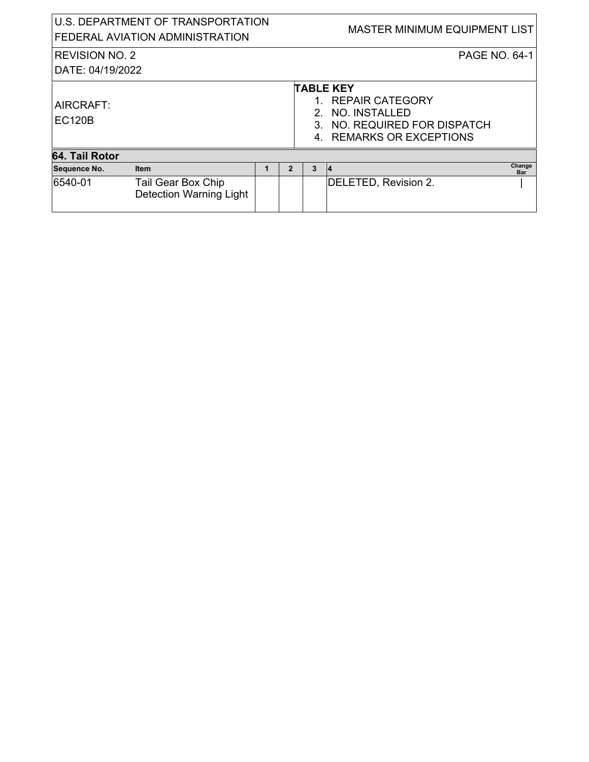| U.S. DEPARTMENT OF TRANSPORTATION<br>FEDERAL AVIATION ADMINISTRATION |                                                      |  |                | MASTER MINIMUM EQUIPMENT LIST |                                                                                                                        |  |
|----------------------------------------------------------------------|------------------------------------------------------|--|----------------|-------------------------------|------------------------------------------------------------------------------------------------------------------------|--|
| <b>REVISION NO. 2</b><br>DATE: 04/19/2022                            |                                                      |  |                |                               | <b>PAGE NO. 64-1</b>                                                                                                   |  |
| AIRCRAFT:<br><b>EC120B</b>                                           |                                                      |  |                |                               | <b>TABLE KEY</b><br>1. REPAIR CATEGORY<br>2. NO. INSTALLED<br>3. NO. REQUIRED FOR DISPATCH<br>4. REMARKS OR EXCEPTIONS |  |
| 64. Tail Rotor                                                       |                                                      |  |                |                               |                                                                                                                        |  |
| Sequence No.                                                         | <b>Item</b>                                          |  | $\mathfrak{p}$ | 3                             | Change<br>14<br>Bar                                                                                                    |  |
| 6540-01                                                              | Tail Gear Box Chip<br><b>Detection Warning Light</b> |  |                |                               | DELETED, Revision 2.                                                                                                   |  |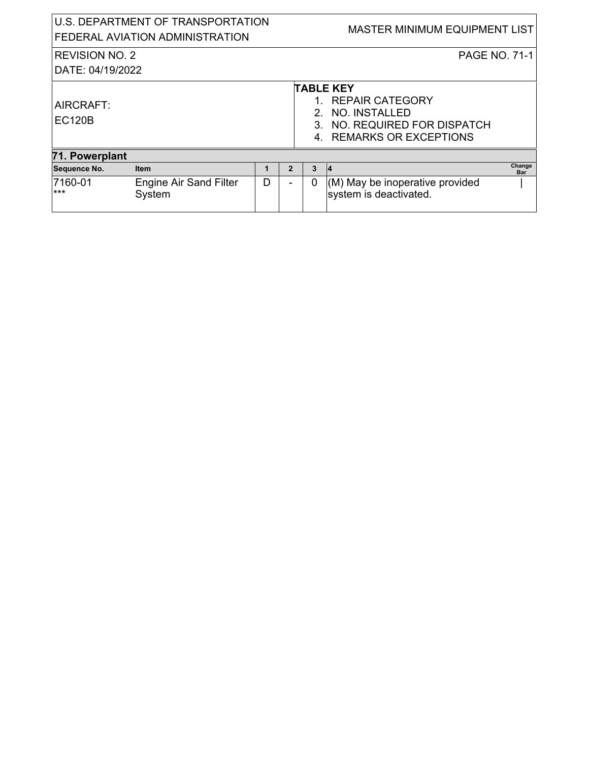| U.S. DEPARTMENT OF TRANSPORTATION<br>FEDERAL AVIATION ADMINISTRATION |                                         |   |                | MASTER MINIMUM EQUIPMENT LIST                                                                                          |                                                           |               |  |
|----------------------------------------------------------------------|-----------------------------------------|---|----------------|------------------------------------------------------------------------------------------------------------------------|-----------------------------------------------------------|---------------|--|
| <b>REVISION NO. 2</b><br>DATE: 04/19/2022                            |                                         |   |                |                                                                                                                        | <b>PAGE NO. 71-1</b>                                      |               |  |
| AIRCRAFT:<br><b>EC120B</b>                                           |                                         |   |                | <b>TABLE KEY</b><br>1. REPAIR CATEGORY<br>2. NO. INSTALLED<br>3. NO. REQUIRED FOR DISPATCH<br>4. REMARKS OR EXCEPTIONS |                                                           |               |  |
| 71. Powerplant                                                       |                                         |   |                |                                                                                                                        |                                                           |               |  |
| Sequence No.                                                         | <b>Item</b>                             |   | $\overline{2}$ | 3                                                                                                                      | 14                                                        | Change<br>Bar |  |
| 7160-01<br>$***$                                                     | <b>Engine Air Sand Filter</b><br>System | D |                | 0                                                                                                                      | (M) May be inoperative provided<br>system is deactivated. |               |  |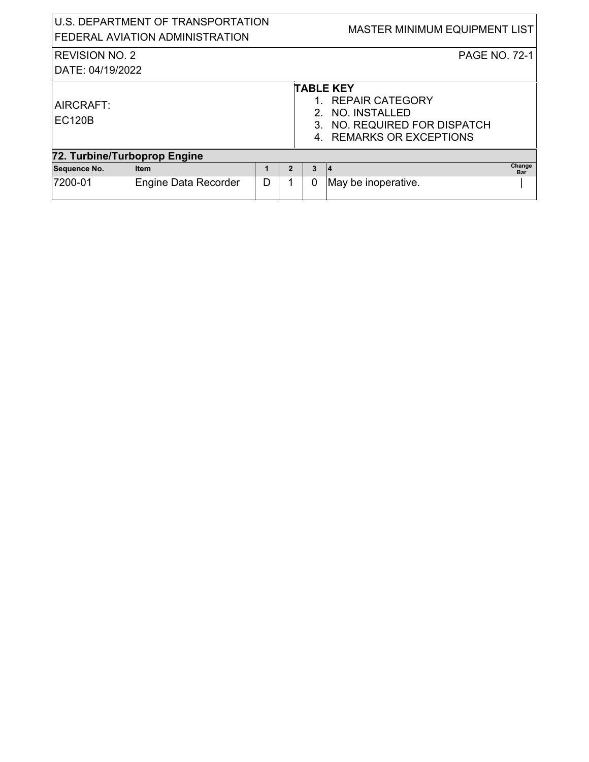| U.S. DEPARTMENT OF TRANSPORTATION<br>FEDERAL AVIATION ADMINISTRATION |                             |   |                | MASTER MINIMUM EQUIPMENT LIST |                                                                                                                     |  |  |
|----------------------------------------------------------------------|-----------------------------|---|----------------|-------------------------------|---------------------------------------------------------------------------------------------------------------------|--|--|
| <b>REVISION NO. 2</b><br>DATE: 04/19/2022                            |                             |   |                |                               | <b>PAGE NO. 72-1</b>                                                                                                |  |  |
| AIRCRAFT:<br><b>EC120B</b>                                           |                             |   |                |                               | <b>TABLE KEY</b><br>1. REPAIR CATEGORY<br>NO. INSTALLED<br>3. NO. REQUIRED FOR DISPATCH<br>4. REMARKS OR EXCEPTIONS |  |  |
| 72. Turbine/Turboprop Engine                                         |                             |   |                |                               |                                                                                                                     |  |  |
| Sequence No.                                                         | <b>Item</b>                 |   | $\overline{2}$ | 3                             | Change<br> 4<br>Bar                                                                                                 |  |  |
| 7200-01                                                              | <b>Engine Data Recorder</b> | D |                | 0                             | May be inoperative.                                                                                                 |  |  |